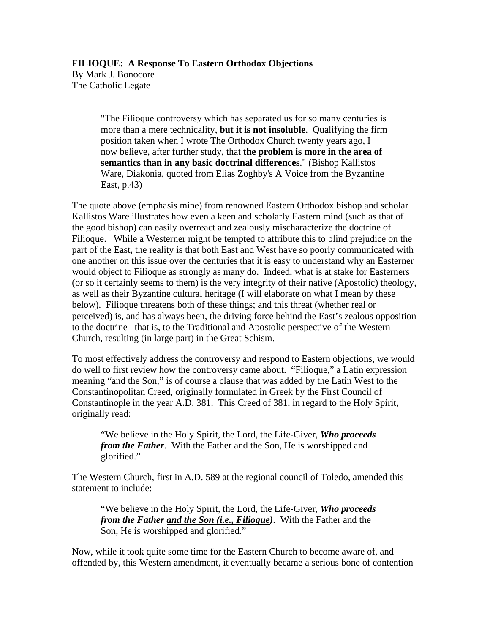**FILIOQUE: A Response To Eastern Orthodox Objections**  By Mark J. Bonocore The Catholic Legate

> "The Filioque controversy which has separated us for so many centuries is more than a mere technicality, **but it is not insoluble**. Qualifying the firm position taken when I wrote The Orthodox Church twenty years ago, I now believe, after further study, that **the problem is more in the area of semantics than in any basic doctrinal differences**." (Bishop Kallistos Ware, Diakonia, quoted from Elias Zoghby's A Voice from the Byzantine East, p.43)

The quote above (emphasis mine) from renowned Eastern Orthodox bishop and scholar Kallistos Ware illustrates how even a keen and scholarly Eastern mind (such as that of the good bishop) can easily overreact and zealously mischaracterize the doctrine of Filioque. While a Westerner might be tempted to attribute this to blind prejudice on the part of the East, the reality is that both East and West have so poorly communicated with one another on this issue over the centuries that it is easy to understand why an Easterner would object to Filioque as strongly as many do. Indeed, what is at stake for Easterners (or so it certainly seems to them) is the very integrity of their native (Apostolic) theology, as well as their Byzantine cultural heritage (I will elaborate on what I mean by these below). Filioque threatens both of these things; and this threat (whether real or perceived) is, and has always been, the driving force behind the East's zealous opposition to the doctrine –that is, to the Traditional and Apostolic perspective of the Western Church, resulting (in large part) in the Great Schism.

To most effectively address the controversy and respond to Eastern objections, we would do well to first review how the controversy came about. "Filioque," a Latin expression meaning "and the Son," is of course a clause that was added by the Latin West to the Constantinopolitan Creed, originally formulated in Greek by the First Council of Constantinople in the year A.D. 381. This Creed of 381, in regard to the Holy Spirit, originally read:

"We believe in the Holy Spirit, the Lord, the Life-Giver, *Who proceeds from the Father*. With the Father and the Son, He is worshipped and glorified."

The Western Church, first in A.D. 589 at the regional council of Toledo, amended this statement to include:

"We believe in the Holy Spirit, the Lord, the Life-Giver, *Who proceeds from the Father and the Son (i.e., Filioque)*. With the Father and the Son, He is worshipped and glorified."

Now, while it took quite some time for the Eastern Church to become aware of, and offended by, this Western amendment, it eventually became a serious bone of contention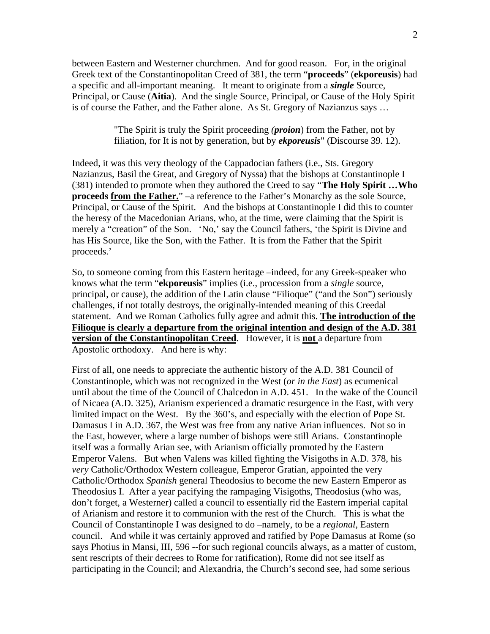between Eastern and Westerner churchmen. And for good reason. For, in the original Greek text of the Constantinopolitan Creed of 381, the term "**proceeds**" (**ekporeusis**) had a specific and all-important meaning. It meant to originate from a *single* Source, Principal, or Cause (**Aitia**). And the single Source, Principal, or Cause of the Holy Spirit is of course the Father, and the Father alone. As St. Gregory of Nazianzus says …

> "The Spirit is truly the Spirit proceeding *(proion*) from the Father, not by filiation, for It is not by generation, but by *ekporeusis*" (Discourse 39. 12).

Indeed, it was this very theology of the Cappadocian fathers (i.e., Sts. Gregory Nazianzus, Basil the Great, and Gregory of Nyssa) that the bishops at Constantinople I (381) intended to promote when they authored the Creed to say "**The Holy Spirit …Who proceeds from the Father.**" –a reference to the Father's Monarchy as the sole Source, Principal, or Cause of the Spirit. And the bishops at Constantinople I did this to counter the heresy of the Macedonian Arians, who, at the time, were claiming that the Spirit is merely a "creation" of the Son. 'No,' say the Council fathers, 'the Spirit is Divine and has His Source, like the Son, with the Father. It is from the Father that the Spirit proceeds.'

So, to someone coming from this Eastern heritage –indeed, for any Greek-speaker who knows what the term "**ekporeusis**" implies (i.e., procession from a *single* source, principal, or cause), the addition of the Latin clause "Filioque" ("and the Son") seriously challenges, if not totally destroys, the originally-intended meaning of this Creedal statement. And we Roman Catholics fully agree and admit this. **The introduction of the Filioque is clearly a departure from the original intention and design of the A.D. 381 version of the Constantinopolitan Creed**. However, it is **not** a departure from Apostolic orthodoxy. And here is why:

First of all, one needs to appreciate the authentic history of the A.D. 381 Council of Constantinople, which was not recognized in the West (*or in the East*) as ecumenical until about the time of the Council of Chalcedon in A.D. 451. In the wake of the Council of Nicaea (A.D. 325), Arianism experienced a dramatic resurgence in the East, with very limited impact on the West. By the 360's, and especially with the election of Pope St. Damasus I in A.D. 367, the West was free from any native Arian influences. Not so in the East, however, where a large number of bishops were still Arians. Constantinople itself was a formally Arian see, with Arianism officially promoted by the Eastern Emperor Valens. But when Valens was killed fighting the Visigoths in A.D. 378, his *very* Catholic/Orthodox Western colleague, Emperor Gratian, appointed the very Catholic/Orthodox *Spanish* general Theodosius to become the new Eastern Emperor as Theodosius I. After a year pacifying the rampaging Visigoths, Theodosius (who was, don't forget, a Westerner) called a council to essentially rid the Eastern imperial capital of Arianism and restore it to communion with the rest of the Church. This is what the Council of Constantinople I was designed to do –namely, to be a *regional*, Eastern council. And while it was certainly approved and ratified by Pope Damasus at Rome (so says Photius in Mansi, III, 596 --for such regional councils always, as a matter of custom, sent rescripts of their decrees to Rome for ratification), Rome did not see itself as participating in the Council; and Alexandria, the Church's second see, had some serious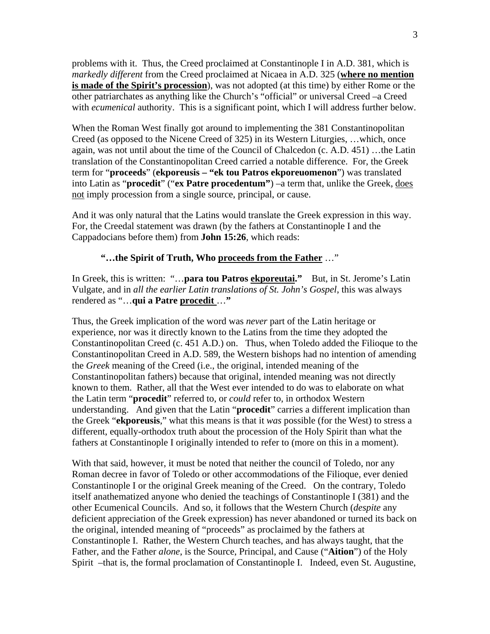problems with it. Thus, the Creed proclaimed at Constantinople I in A.D. 381, which is *markedly different* from the Creed proclaimed at Nicaea in A.D. 325 (**where no mention is made of the Spirit's procession**), was not adopted (at this time) by either Rome or the other patriarchates as anything like the Church's "official" or universal Creed –a Creed with *ecumenical* authority. This is a significant point, which I will address further below.

When the Roman West finally got around to implementing the 381 Constantinopolitan Creed (as opposed to the Nicene Creed of 325) in its Western Liturgies, …which, once again, was not until about the time of the Council of Chalcedon (c. A.D. 451) …the Latin translation of the Constantinopolitan Creed carried a notable difference. For, the Greek term for "**proceeds**" (**ekporeusis – "ek tou Patros ekporeuomenon**") was translated into Latin as "**procedit**" ("**ex Patre procedentum"**) –a term that, unlike the Greek, does not imply procession from a single source, principal, or cause.

And it was only natural that the Latins would translate the Greek expression in this way. For, the Creedal statement was drawn (by the fathers at Constantinople I and the Cappadocians before them) from **John 15:26**, which reads:

#### **"…the Spirit of Truth, Who proceeds from the Father** …"

In Greek, this is written: "…**para tou Patros ekporeutai."** But, in St. Jerome's Latin Vulgate, and in *all the earlier Latin translations of St. John's Gospel*, this was always rendered as "…**qui a Patre procedit** …**"** 

Thus, the Greek implication of the word was *never* part of the Latin heritage or experience, nor was it directly known to the Latins from the time they adopted the Constantinopolitan Creed (c. 451 A.D.) on. Thus, when Toledo added the Filioque to the Constantinopolitan Creed in A.D. 589, the Western bishops had no intention of amending the *Greek* meaning of the Creed (i.e., the original, intended meaning of the Constantinopolitan fathers) because that original, intended meaning was not directly known to them. Rather, all that the West ever intended to do was to elaborate on what the Latin term "**procedit**" referred to, or *could* refer to, in orthodox Western understanding. And given that the Latin "**procedit**" carries a different implication than the Greek "**ekporeusis**," what this means is that it *was* possible (for the West) to stress a different, equally-orthodox truth about the procession of the Holy Spirit than what the fathers at Constantinople I originally intended to refer to (more on this in a moment).

With that said, however, it must be noted that neither the council of Toledo, nor any Roman decree in favor of Toledo or other accommodations of the Filioque, ever denied Constantinople I or the original Greek meaning of the Creed. On the contrary, Toledo itself anathematized anyone who denied the teachings of Constantinople I (381) and the other Ecumenical Councils. And so, it follows that the Western Church (*despite* any deficient appreciation of the Greek expression) has never abandoned or turned its back on the original, intended meaning of "proceeds" as proclaimed by the fathers at Constantinople I. Rather, the Western Church teaches, and has always taught, that the Father, and the Father *alone*, is the Source, Principal, and Cause ("**Aition**") of the Holy Spirit –that is, the formal proclamation of Constantinople I. Indeed, even St. Augustine,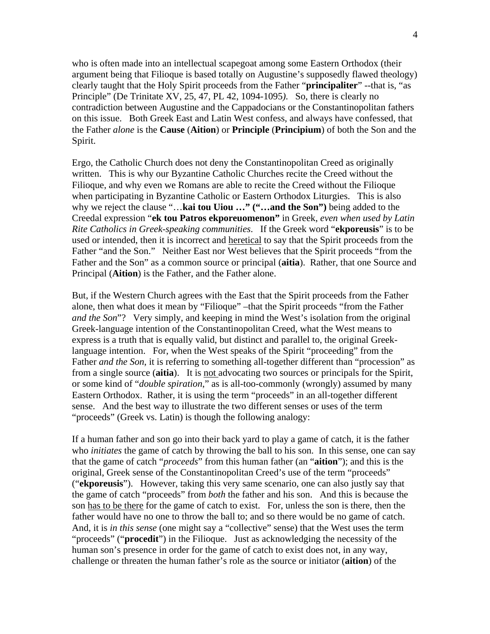who is often made into an intellectual scapegoat among some Eastern Orthodox (their argument being that Filioque is based totally on Augustine's supposedly flawed theology) clearly taught that the Holy Spirit proceeds from the Father "**principaliter**" --that is, "as Principle" (De Trinitate XV, 25, 47, PL 42, 1094-1095*)*. So, there is clearly no contradiction between Augustine and the Cappadocians or the Constantinopolitan fathers on this issue. Both Greek East and Latin West confess, and always have confessed, that the Father *alone* is the **Cause** (**Aition**) or **Principle** (**Principium**) of both the Son and the Spirit.

Ergo, the Catholic Church does not deny the Constantinopolitan Creed as originally written. This is why our Byzantine Catholic Churches recite the Creed without the Filioque, and why even we Romans are able to recite the Creed without the Filioque when participating in Byzantine Catholic or Eastern Orthodox Liturgies. This is also why we reject the clause "…**kai tou Uiou …" ("…and the Son")** being added to the Creedal expression "**ek tou Patros ekporeuomenon"** in Greek, *even when used by Latin Rite Catholics in Greek-speaking communities*. If the Greek word "**ekporeusis**" is to be used or intended, then it is incorrect and heretical to say that the Spirit proceeds from the Father "and the Son." Neither East nor West believes that the Spirit proceeds "from the Father and the Son" as a common source or principal (**aitia**). Rather, that one Source and Principal (**Aition**) is the Father, and the Father alone.

But, if the Western Church agrees with the East that the Spirit proceeds from the Father alone, then what does it mean by "Filioque" –that the Spirit proceeds "from the Father *and the Son*"? Very simply, and keeping in mind the West's isolation from the original Greek-language intention of the Constantinopolitan Creed, what the West means to express is a truth that is equally valid, but distinct and parallel to, the original Greeklanguage intention. For, when the West speaks of the Spirit "proceeding" from the Father *and the Son*, it is referring to something all-together different than "procession" as from a single source (**aitia**). It is not advocating two sources or principals for the Spirit, or some kind of "*double spiration*," as is all-too-commonly (wrongly) assumed by many Eastern Orthodox. Rather, it is using the term "proceeds" in an all-together different sense. And the best way to illustrate the two different senses or uses of the term "proceeds" (Greek vs. Latin) is though the following analogy:

If a human father and son go into their back yard to play a game of catch, it is the father who *initiates* the game of catch by throwing the ball to his son. In this sense, one can say that the game of catch "*proceeds*" from this human father (an "**aition**"); and this is the original, Greek sense of the Constantinopolitan Creed's use of the term "proceeds" ("**ekporeusis**"). However, taking this very same scenario, one can also justly say that the game of catch "proceeds" from *both* the father and his son. And this is because the son has to be there for the game of catch to exist. For, unless the son is there, then the father would have no one to throw the ball to; and so there would be no game of catch. And, it is *in this sense* (one might say a "collective" sense) that the West uses the term "proceeds" ("**procedit**") in the Filioque. Just as acknowledging the necessity of the human son's presence in order for the game of catch to exist does not, in any way, challenge or threaten the human father's role as the source or initiator (**aition**) of the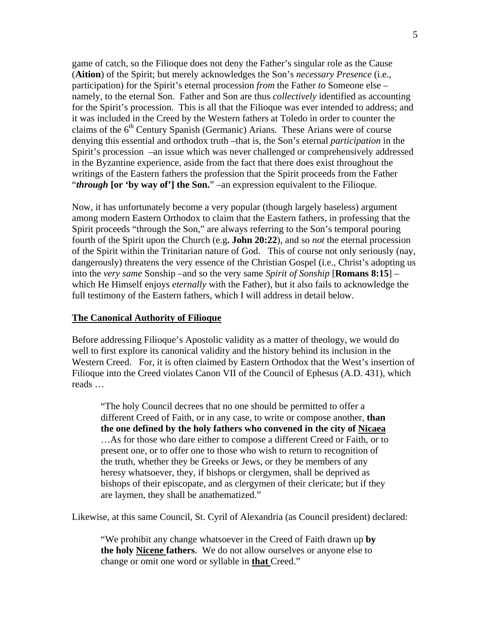game of catch, so the Filioque does not deny the Father's singular role as the Cause (**Aition**) of the Spirit; but merely acknowledges the Son's *necessary Presence* (i.e., participation) for the Spirit's eternal procession *from* the Father *to* Someone else – namely, to the eternal Son. Father and Son are thus *collectively* identified as accounting for the Spirit's procession. This is all that the Filioque was ever intended to address; and it was included in the Creed by the Western fathers at Toledo in order to counter the claims of the 6<sup>th</sup> Century Spanish (Germanic) Arians. These Arians were of course denying this essential and orthodox truth –that is, the Son's eternal *participation* in the Spirit's procession –an issue which was never challenged or comprehensively addressed in the Byzantine experience, aside from the fact that there does exist throughout the writings of the Eastern fathers the profession that the Spirit proceeds from the Father "*through* **[or 'by way of'] the Son.**" –an expression equivalent to the Filioque.

Now, it has unfortunately become a very popular (though largely baseless) argument among modern Eastern Orthodox to claim that the Eastern fathers, in professing that the Spirit proceeds "through the Son," are always referring to the Son's temporal pouring fourth of the Spirit upon the Church (e.g**. John 20:22**), and so *not* the eternal procession of the Spirit within the Trinitarian nature of God. This of course not only seriously (nay, dangerously) threatens the very essence of the Christian Gospel (i.e., Christ's adopting us into the *very same* Sonship –and so the very same *Spirit of Sonship* [**Romans 8:15**] – which He Himself enjoys *eternally* with the Father), but it also fails to acknowledge the full testimony of the Eastern fathers, which I will address in detail below.

#### **The Canonical Authority of Filioque**

Before addressing Filioque's Apostolic validity as a matter of theology, we would do well to first explore its canonical validity and the history behind its inclusion in the Western Creed. For, it is often claimed by Eastern Orthodox that the West's insertion of Filioque into the Creed violates Canon VII of the Council of Ephesus (A.D. 431), which reads …

"The holy Council decrees that no one should be permitted to offer a different Creed of Faith, or in any case, to write or compose another, **than the one defined by the holy fathers who convened in the city of Nicaea** …As for those who dare either to compose a different Creed or Faith, or to present one, or to offer one to those who wish to return to recognition of the truth, whether they be Greeks or Jews, or they be members of any heresy whatsoever, they, if bishops or clergymen, shall be deprived as bishops of their episcopate, and as clergymen of their clericate; but if they are laymen, they shall be anathematized."

Likewise, at this same Council, St. Cyril of Alexandria (as Council president) declared:

"We prohibit any change whatsoever in the Creed of Faith drawn up **by the holy Nicene fathers**. We do not allow ourselves or anyone else to change or omit one word or syllable in **that** Creed."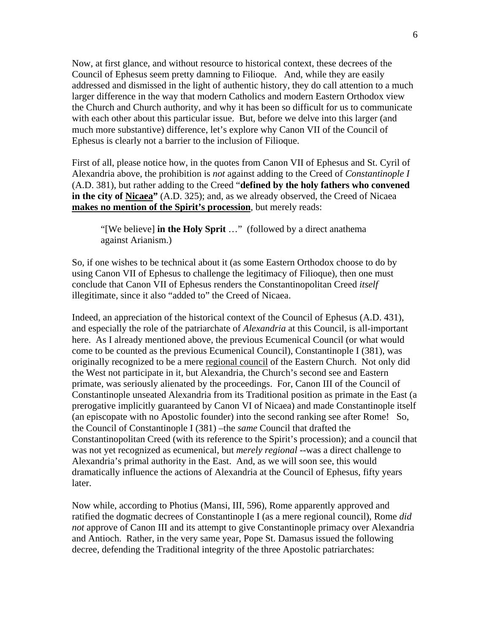Now, at first glance, and without resource to historical context, these decrees of the Council of Ephesus seem pretty damning to Filioque. And, while they are easily addressed and dismissed in the light of authentic history, they do call attention to a much larger difference in the way that modern Catholics and modern Eastern Orthodox view the Church and Church authority, and why it has been so difficult for us to communicate with each other about this particular issue. But, before we delve into this larger (and much more substantive) difference, let's explore why Canon VII of the Council of Ephesus is clearly not a barrier to the inclusion of Filioque.

First of all, please notice how, in the quotes from Canon VII of Ephesus and St. Cyril of Alexandria above, the prohibition is *not* against adding to the Creed of *Constantinople I*  (A.D. 381), but rather adding to the Creed "**defined by the holy fathers who convened in the city of Nicaea"** (A.D. 325); and, as we already observed, the Creed of Nicaea **makes no mention of the Spirit's procession**, but merely reads:

"[We believe] **in the Holy Sprit** …" (followed by a direct anathema against Arianism.)

So, if one wishes to be technical about it (as some Eastern Orthodox choose to do by using Canon VII of Ephesus to challenge the legitimacy of Filioque), then one must conclude that Canon VII of Ephesus renders the Constantinopolitan Creed *itself*  illegitimate, since it also "added to" the Creed of Nicaea.

Indeed, an appreciation of the historical context of the Council of Ephesus (A.D. 431), and especially the role of the patriarchate of *Alexandria* at this Council, is all-important here. As I already mentioned above, the previous Ecumenical Council (or what would come to be counted as the previous Ecumenical Council), Constantinople I (381), was originally recognized to be a mere regional council of the Eastern Church. Not only did the West not participate in it, but Alexandria, the Church's second see and Eastern primate, was seriously alienated by the proceedings. For, Canon III of the Council of Constantinople unseated Alexandria from its Traditional position as primate in the East (a prerogative implicitly guaranteed by Canon VI of Nicaea) and made Constantinople itself (an episcopate with no Apostolic founder) into the second ranking see after Rome! So, the Council of Constantinople I (381) –the *same* Council that drafted the Constantinopolitan Creed (with its reference to the Spirit's procession); and a council that was not yet recognized as ecumenical, but *merely regional* --was a direct challenge to Alexandria's primal authority in the East. And, as we will soon see, this would dramatically influence the actions of Alexandria at the Council of Ephesus, fifty years later.

Now while, according to Photius (Mansi, III, 596), Rome apparently approved and ratified the dogmatic decrees of Constantinople I (as a mere regional council), Rome *did not* approve of Canon III and its attempt to give Constantinople primacy over Alexandria and Antioch. Rather, in the very same year, Pope St. Damasus issued the following decree, defending the Traditional integrity of the three Apostolic patriarchates: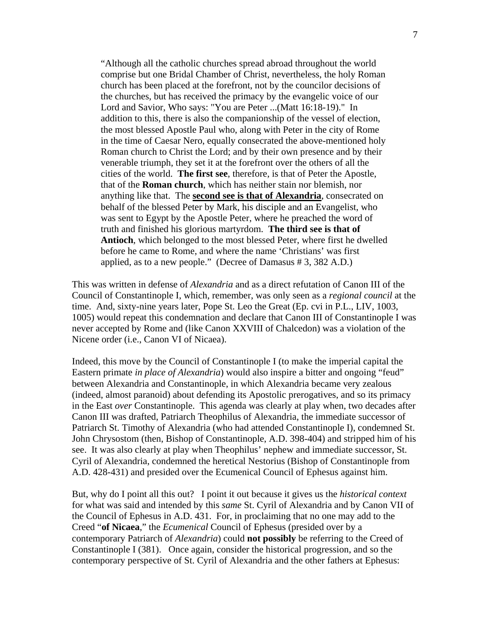"Although all the catholic churches spread abroad throughout the world comprise but one Bridal Chamber of Christ, nevertheless, the holy Roman church has been placed at the forefront, not by the councilor decisions of the churches, but has received the primacy by the evangelic voice of our Lord and Savior, Who says: "You are Peter ...(Matt 16:18-19)." In addition to this, there is also the companionship of the vessel of election, the most blessed Apostle Paul who, along with Peter in the city of Rome in the time of Caesar Nero, equally consecrated the above-mentioned holy Roman church to Christ the Lord; and by their own presence and by their venerable triumph, they set it at the forefront over the others of all the cities of the world. **The first see**, therefore, is that of Peter the Apostle, that of the **Roman church**, which has neither stain nor blemish, nor anything like that. The **second see is that of Alexandria**, consecrated on behalf of the blessed Peter by Mark, his disciple and an Evangelist, who was sent to Egypt by the Apostle Peter, where he preached the word of truth and finished his glorious martyrdom. **The third see is that of Antioch**, which belonged to the most blessed Peter, where first he dwelled before he came to Rome, and where the name 'Christians' was first applied, as to a new people." (Decree of Damasus # 3, 382 A.D.)

This was written in defense of *Alexandria* and as a direct refutation of Canon III of the Council of Constantinople I, which, remember, was only seen as a *regional council* at the time. And, sixty-nine years later, Pope St. Leo the Great (Ep. cvi in P.L., LIV, 1003, 1005) would repeat this condemnation and declare that Canon III of Constantinople I was never accepted by Rome and (like Canon XXVIII of Chalcedon) was a violation of the Nicene order (i.e., Canon VI of Nicaea).

Indeed, this move by the Council of Constantinople I (to make the imperial capital the Eastern primate *in place of Alexandria*) would also inspire a bitter and ongoing "feud" between Alexandria and Constantinople, in which Alexandria became very zealous (indeed, almost paranoid) about defending its Apostolic prerogatives, and so its primacy in the East *over* Constantinople. This agenda was clearly at play when, two decades after Canon III was drafted, Patriarch Theophilus of Alexandria, the immediate successor of Patriarch St. Timothy of Alexandria (who had attended Constantinople I), condemned St. John Chrysostom (then, Bishop of Constantinople, A.D. 398-404) and stripped him of his see. It was also clearly at play when Theophilus' nephew and immediate successor, St. Cyril of Alexandria, condemned the heretical Nestorius (Bishop of Constantinople from A.D. 428-431) and presided over the Ecumenical Council of Ephesus against him.

But, why do I point all this out? I point it out because it gives us the *historical context* for what was said and intended by this *same* St. Cyril of Alexandria and by Canon VII of the Council of Ephesus in A.D. 431. For, in proclaiming that no one may add to the Creed "**of Nicaea**," the *Ecumenical* Council of Ephesus (presided over by a contemporary Patriarch of *Alexandria*) could **not possibly** be referring to the Creed of Constantinople I (381). Once again, consider the historical progression, and so the contemporary perspective of St. Cyril of Alexandria and the other fathers at Ephesus: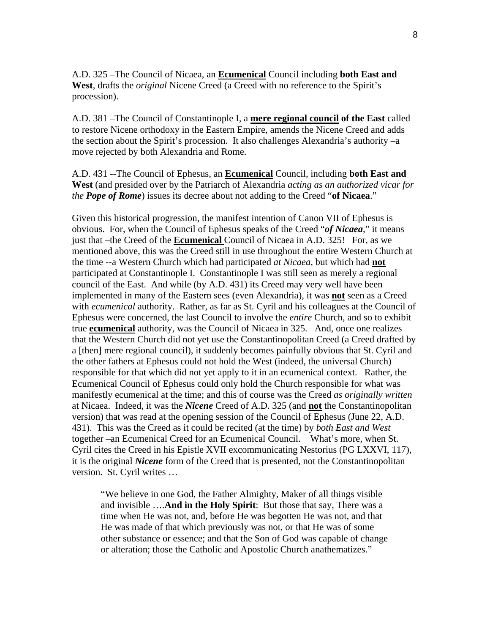A.D. 325 –The Council of Nicaea, an **Ecumenical** Council including **both East and West**, drafts the *original* Nicene Creed (a Creed with no reference to the Spirit's procession).

A.D. 381 –The Council of Constantinople I, a **mere regional council of the East** called to restore Nicene orthodoxy in the Eastern Empire, amends the Nicene Creed and adds the section about the Spirit's procession. It also challenges Alexandria's authority –a move rejected by both Alexandria and Rome.

A.D. 431 --The Council of Ephesus, an **Ecumenical** Council, including **both East and West** (and presided over by the Patriarch of Alexandria *acting as an authorized vicar for the Pope of Rome*) issues its decree about not adding to the Creed "**of Nicaea**."

Given this historical progression, the manifest intention of Canon VII of Ephesus is obvious. For, when the Council of Ephesus speaks of the Creed "*of Nicaea*," it means just that –the Creed of the **Ecumenical** Council of Nicaea in A.D. 325! For, as we mentioned above, this was the Creed still in use throughout the entire Western Church at the time --a Western Church which had participated *at Nicaea*, but which had **not** participated at Constantinople I. Constantinople I was still seen as merely a regional council of the East. And while (by A.D. 431) its Creed may very well have been implemented in many of the Eastern sees (even Alexandria), it was **not** seen as a Creed with *ecumenical* authority. Rather, as far as St. Cyril and his colleagues at the Council of Ephesus were concerned, the last Council to involve the *entire* Church, and so to exhibit true **ecumenical** authority, was the Council of Nicaea in 325. And, once one realizes that the Western Church did not yet use the Constantinopolitan Creed (a Creed drafted by a [then] mere regional council), it suddenly becomes painfully obvious that St. Cyril and the other fathers at Ephesus could not hold the West (indeed, the universal Church) responsible for that which did not yet apply to it in an ecumenical context. Rather, the Ecumenical Council of Ephesus could only hold the Church responsible for what was manifestly ecumenical at the time; and this of course was the Creed *as originally written* at Nicaea. Indeed, it was the *Nicene* Creed of A.D. 325 (and **not** the Constantinopolitan version) that was read at the opening session of the Council of Ephesus (June 22, A.D. 431). This was the Creed as it could be recited (at the time) by *both East and West* together –an Ecumenical Creed for an Ecumenical Council. What's more, when St. Cyril cites the Creed in his Epistle XVII excommunicating Nestorius (PG LXXVI, 117), it is the original *Nicene* form of the Creed that is presented, not the Constantinopolitan version. St. Cyril writes …

"We believe in one God, the Father Almighty, Maker of all things visible and invisible ….**And in the Holy Spirit**: But those that say, There was a time when He was not, and, before He was begotten He was not, and that He was made of that which previously was not, or that He was of some other substance or essence; and that the Son of God was capable of change or alteration; those the Catholic and Apostolic Church anathematizes."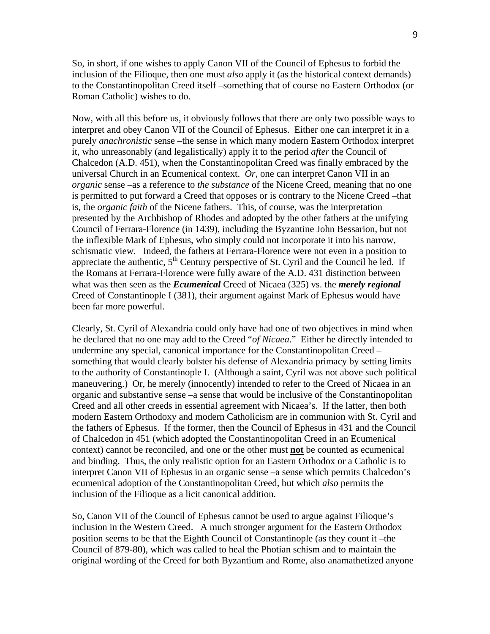So, in short, if one wishes to apply Canon VII of the Council of Ephesus to forbid the inclusion of the Filioque, then one must *also* apply it (as the historical context demands) to the Constantinopolitan Creed itself –something that of course no Eastern Orthodox (or Roman Catholic) wishes to do.

Now, with all this before us, it obviously follows that there are only two possible ways to interpret and obey Canon VII of the Council of Ephesus. Either one can interpret it in a purely *anachronistic* sense –the sense in which many modern Eastern Orthodox interpret it, who unreasonably (and legalistically) apply it to the period *after* the Council of Chalcedon (A.D. 451), when the Constantinopolitan Creed was finally embraced by the universal Church in an Ecumenical context. *Or,* one can interpret Canon VII in an *organic* sense –as a reference to *the substance* of the Nicene Creed, meaning that no one is permitted to put forward a Creed that opposes or is contrary to the Nicene Creed –that is, the *organic faith* of the Nicene fathers. This, of course, was the interpretation presented by the Archbishop of Rhodes and adopted by the other fathers at the unifying Council of Ferrara-Florence (in 1439), including the Byzantine John Bessarion, but not the inflexible Mark of Ephesus, who simply could not incorporate it into his narrow, schismatic view. Indeed, the fathers at Ferrara-Florence were not even in a position to appreciate the authentic,  $5<sup>th</sup>$  Century perspective of St. Cyril and the Council he led. If the Romans at Ferrara-Florence were fully aware of the A.D. 431 distinction between what was then seen as the *Ecumenical* Creed of Nicaea (325) vs. the *merely regional* Creed of Constantinople I (381), their argument against Mark of Ephesus would have been far more powerful.

Clearly, St. Cyril of Alexandria could only have had one of two objectives in mind when he declared that no one may add to the Creed "*of Nicaea*." Either he directly intended to undermine any special, canonical importance for the Constantinopolitan Creed – something that would clearly bolster his defense of Alexandria primacy by setting limits to the authority of Constantinople I. (Although a saint, Cyril was not above such political maneuvering.) Or, he merely (innocently) intended to refer to the Creed of Nicaea in an organic and substantive sense –a sense that would be inclusive of the Constantinopolitan Creed and all other creeds in essential agreement with Nicaea's. If the latter, then both modern Eastern Orthodoxy and modern Catholicism are in communion with St. Cyril and the fathers of Ephesus. If the former, then the Council of Ephesus in 431 and the Council of Chalcedon in 451 (which adopted the Constantinopolitan Creed in an Ecumenical context) cannot be reconciled, and one or the other must **not** be counted as ecumenical and binding. Thus, the only realistic option for an Eastern Orthodox or a Catholic is to interpret Canon VII of Ephesus in an organic sense –a sense which permits Chalcedon's ecumenical adoption of the Constantinopolitan Creed, but which *also* permits the inclusion of the Filioque as a licit canonical addition.

So, Canon VII of the Council of Ephesus cannot be used to argue against Filioque's inclusion in the Western Creed. A much stronger argument for the Eastern Orthodox position seems to be that the Eighth Council of Constantinople (as they count it –the Council of 879-80), which was called to heal the Photian schism and to maintain the original wording of the Creed for both Byzantium and Rome, also anamathetized anyone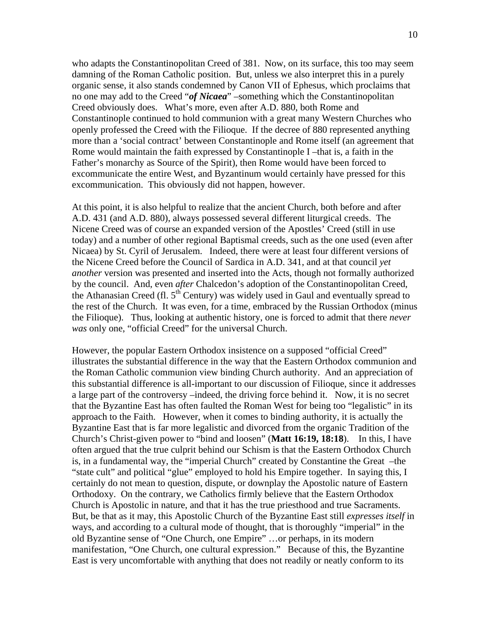who adapts the Constantinopolitan Creed of 381. Now, on its surface, this too may seem damning of the Roman Catholic position. But, unless we also interpret this in a purely organic sense, it also stands condemned by Canon VII of Ephesus, which proclaims that no one may add to the Creed "*of Nicaea*" –something which the Constantinopolitan Creed obviously does. What's more, even after A.D. 880, both Rome and Constantinople continued to hold communion with a great many Western Churches who openly professed the Creed with the Filioque. If the decree of 880 represented anything more than a 'social contract' between Constantinople and Rome itself (an agreement that Rome would maintain the faith expressed by Constantinople I –that is, a faith in the Father's monarchy as Source of the Spirit), then Rome would have been forced to excommunicate the entire West, and Byzantinum would certainly have pressed for this excommunication. This obviously did not happen, however.

At this point, it is also helpful to realize that the ancient Church, both before and after A.D. 431 (and A.D. 880), always possessed several different liturgical creeds. The Nicene Creed was of course an expanded version of the Apostles' Creed (still in use today) and a number of other regional Baptismal creeds, such as the one used (even after Nicaea) by St. Cyril of Jerusalem. Indeed, there were at least four different versions of the Nicene Creed before the Council of Sardica in A.D. 341, and at that council *yet another* version was presented and inserted into the Acts, though not formally authorized by the council. And, even *after* Chalcedon's adoption of the Constantinopolitan Creed, the Athanasian Creed (fl.  $5<sup>th</sup>$  Century) was widely used in Gaul and eventually spread to the rest of the Church. It was even, for a time, embraced by the Russian Orthodox (minus the Filioque). Thus, looking at authentic history, one is forced to admit that there *never was* only one, "official Creed" for the universal Church.

However, the popular Eastern Orthodox insistence on a supposed "official Creed" illustrates the substantial difference in the way that the Eastern Orthodox communion and the Roman Catholic communion view binding Church authority. And an appreciation of this substantial difference is all-important to our discussion of Filioque, since it addresses a large part of the controversy –indeed, the driving force behind it. Now, it is no secret that the Byzantine East has often faulted the Roman West for being too "legalistic" in its approach to the Faith. However, when it comes to binding authority, it is actually the Byzantine East that is far more legalistic and divorced from the organic Tradition of the Church's Christ-given power to "bind and loosen" (**Matt 16:19, 18:18**). In this, I have often argued that the true culprit behind our Schism is that the Eastern Orthodox Church is, in a fundamental way, the "imperial Church" created by Constantine the Great –the "state cult" and political "glue" employed to hold his Empire together. In saying this, I certainly do not mean to question, dispute, or downplay the Apostolic nature of Eastern Orthodoxy. On the contrary, we Catholics firmly believe that the Eastern Orthodox Church is Apostolic in nature, and that it has the true priesthood and true Sacraments. But, be that as it may, this Apostolic Church of the Byzantine East still *expresses itself* in ways, and according to a cultural mode of thought, that is thoroughly "imperial" in the old Byzantine sense of "One Church, one Empire" …or perhaps, in its modern manifestation, "One Church, one cultural expression." Because of this, the Byzantine East is very uncomfortable with anything that does not readily or neatly conform to its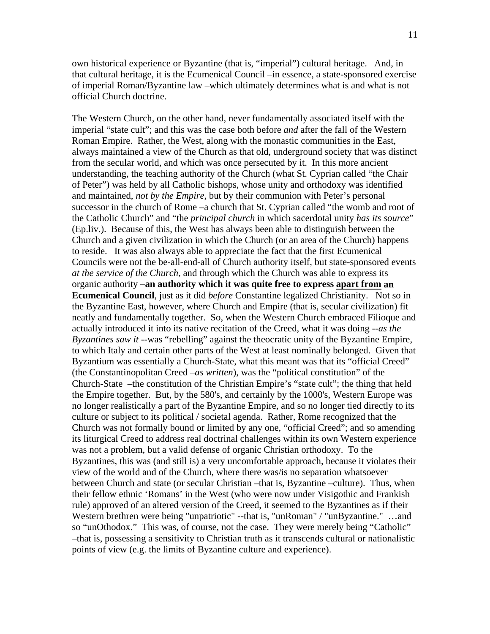own historical experience or Byzantine (that is, "imperial") cultural heritage. And, in that cultural heritage, it is the Ecumenical Council –in essence, a state-sponsored exercise of imperial Roman/Byzantine law –which ultimately determines what is and what is not official Church doctrine.

The Western Church, on the other hand, never fundamentally associated itself with the imperial "state cult"; and this was the case both before *and* after the fall of the Western Roman Empire. Rather, the West, along with the monastic communities in the East, always maintained a view of the Church as that old, underground society that was distinct from the secular world, and which was once persecuted by it. In this more ancient understanding, the teaching authority of the Church (what St. Cyprian called "the Chair of Peter") was held by all Catholic bishops, whose unity and orthodoxy was identified and maintained, *not by the Empire*, but by their communion with Peter's personal successor in the church of Rome –a church that St. Cyprian called "the womb and root of the Catholic Church" and "the *principal church* in which sacerdotal unity *has its source*" (Ep.liv.). Because of this, the West has always been able to distinguish between the Church and a given civilization in which the Church (or an area of the Church) happens to reside. It was also always able to appreciate the fact that the first Ecumenical Councils were not the be-all-end-all of Church authority itself, but state-sponsored events *at the service of the Church*, and through which the Church was able to express its organic authority –**an authority which it was quite free to express apart from an Ecumenical Council**, just as it did *before* Constantine legalized Christianity. Not so in the Byzantine East, however, where Church and Empire (that is, secular civilization) fit neatly and fundamentally together. So, when the Western Church embraced Filioque and actually introduced it into its native recitation of the Creed, what it was doing --*as the Byzantines saw it* --was "rebelling" against the theocratic unity of the Byzantine Empire, to which Italy and certain other parts of the West at least nominally belonged. Given that Byzantium was essentially a Church-State, what this meant was that its "official Creed" (the Constantinopolitan Creed –*as written*), was the "political constitution" of the Church-State –the constitution of the Christian Empire's "state cult"; the thing that held the Empire together. But, by the 580's, and certainly by the 1000's, Western Europe was no longer realistically a part of the Byzantine Empire, and so no longer tied directly to its culture or subject to its political / societal agenda. Rather, Rome recognized that the Church was not formally bound or limited by any one, "official Creed"; and so amending its liturgical Creed to address real doctrinal challenges within its own Western experience was not a problem, but a valid defense of organic Christian orthodoxy. To the Byzantines, this was (and still is) a very uncomfortable approach, because it violates their view of the world and of the Church, where there was/is no separation whatsoever between Church and state (or secular Christian –that is, Byzantine –culture). Thus, when their fellow ethnic 'Romans' in the West (who were now under Visigothic and Frankish rule) approved of an altered version of the Creed, it seemed to the Byzantines as if their Western brethren were being "unpatriotic" --that is, "unRoman" / "unByzantine." ...and so "unOthodox." This was, of course, not the case. They were merely being "Catholic" –that is, possessing a sensitivity to Christian truth as it transcends cultural or nationalistic points of view (e.g. the limits of Byzantine culture and experience).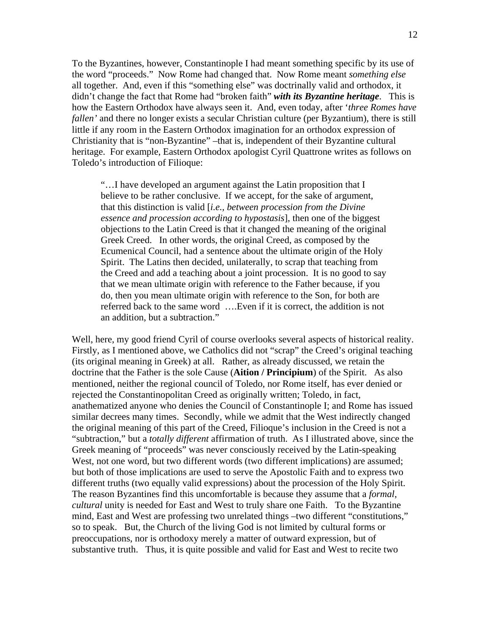To the Byzantines, however, Constantinople I had meant something specific by its use of the word "proceeds." Now Rome had changed that. Now Rome meant *something else* all together. And, even if this "something else" was doctrinally valid and orthodox, it didn't change the fact that Rome had "broken faith" *with its Byzantine heritage*. This is how the Eastern Orthodox have always seen it. And, even today, after '*three Romes have fallen'* and there no longer exists a secular Christian culture (per Byzantium), there is still little if any room in the Eastern Orthodox imagination for an orthodox expression of Christianity that is "non-Byzantine" –that is, independent of their Byzantine cultural heritage. For example, Eastern Orthodox apologist Cyril Quattrone writes as follows on Toledo's introduction of Filioque:

"…I have developed an argument against the Latin proposition that I believe to be rather conclusive. If we accept, for the sake of argument, that this distinction is valid [*i.e., between procession from the Divine essence and procession according to hypostasis*], then one of the biggest objections to the Latin Creed is that it changed the meaning of the original Greek Creed. In other words, the original Creed, as composed by the Ecumenical Council, had a sentence about the ultimate origin of the Holy Spirit. The Latins then decided, unilaterally, to scrap that teaching from the Creed and add a teaching about a joint procession. It is no good to say that we mean ultimate origin with reference to the Father because, if you do, then you mean ultimate origin with reference to the Son, for both are referred back to the same word ….Even if it is correct, the addition is not an addition, but a subtraction."

Well, here, my good friend Cyril of course overlooks several aspects of historical reality. Firstly, as I mentioned above, we Catholics did not "scrap" the Creed's original teaching (its original meaning in Greek) at all. Rather, as already discussed, we retain the doctrine that the Father is the sole Cause (**Aition / Principium**) of the Spirit. As also mentioned, neither the regional council of Toledo, nor Rome itself, has ever denied or rejected the Constantinopolitan Creed as originally written; Toledo, in fact, anathematized anyone who denies the Council of Constantinople I; and Rome has issued similar decrees many times. Secondly, while we admit that the West indirectly changed the original meaning of this part of the Creed, Filioque's inclusion in the Creed is not a "subtraction," but a *totally different* affirmation of truth. As I illustrated above, since the Greek meaning of "proceeds" was never consciously received by the Latin-speaking West, not one word, but two different words (two different implications) are assumed; but both of those implications are used to serve the Apostolic Faith and to express two different truths (two equally valid expressions) about the procession of the Holy Spirit. The reason Byzantines find this uncomfortable is because they assume that a *formal*, *cultural* unity is needed for East and West to truly share one Faith. To the Byzantine mind, East and West are professing two unrelated things –two different "constitutions," so to speak. But, the Church of the living God is not limited by cultural forms or preoccupations, nor is orthodoxy merely a matter of outward expression, but of substantive truth. Thus, it is quite possible and valid for East and West to recite two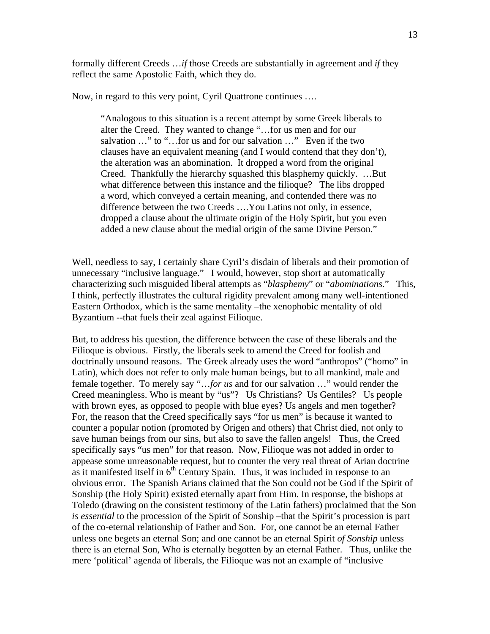formally different Creeds …*if* those Creeds are substantially in agreement and *if* they reflect the same Apostolic Faith, which they do.

Now, in regard to this very point, Cyril Quattrone continues ….

"Analogous to this situation is a recent attempt by some Greek liberals to alter the Creed. They wanted to change "…for us men and for our salvation ..." to "...for us and for our salvation ..." Even if the two clauses have an equivalent meaning (and I would contend that they don't), the alteration was an abomination. It dropped a word from the original Creed. Thankfully the hierarchy squashed this blasphemy quickly. …But what difference between this instance and the filioque? The libs dropped a word, which conveyed a certain meaning, and contended there was no difference between the two Creeds ….You Latins not only, in essence, dropped a clause about the ultimate origin of the Holy Spirit, but you even added a new clause about the medial origin of the same Divine Person."

Well, needless to say, I certainly share Cyril's disdain of liberals and their promotion of unnecessary "inclusive language." I would, however, stop short at automatically characterizing such misguided liberal attempts as "*blasphemy*" or "*abominations*." This, I think, perfectly illustrates the cultural rigidity prevalent among many well-intentioned Eastern Orthodox, which is the same mentality –the xenophobic mentality of old Byzantium --that fuels their zeal against Filioque.

But, to address his question, the difference between the case of these liberals and the Filioque is obvious. Firstly, the liberals seek to amend the Creed for foolish and doctrinally unsound reasons. The Greek already uses the word "anthropos" ("homo" in Latin), which does not refer to only male human beings, but to all mankind, male and female together. To merely say "…*for us* and for our salvation …" would render the Creed meaningless. Who is meant by "us"? Us Christians? Us Gentiles? Us people with brown eyes, as opposed to people with blue eyes? Us angels and men together? For, the reason that the Creed specifically says "for us men" is because it wanted to counter a popular notion (promoted by Origen and others) that Christ died, not only to save human beings from our sins, but also to save the fallen angels! Thus, the Creed specifically says "us men" for that reason. Now, Filioque was not added in order to appease some unreasonable request, but to counter the very real threat of Arian doctrine as it manifested itself in  $6<sup>th</sup>$  Century Spain. Thus, it was included in response to an obvious error. The Spanish Arians claimed that the Son could not be God if the Spirit of Sonship (the Holy Spirit) existed eternally apart from Him. In response, the bishops at Toledo (drawing on the consistent testimony of the Latin fathers) proclaimed that the Son *is essential* to the procession of the Spirit of Sonship –that the Spirit's procession is part of the co-eternal relationship of Father and Son. For, one cannot be an eternal Father unless one begets an eternal Son; and one cannot be an eternal Spirit *of Sonship* unless there is an eternal Son, Who is eternally begotten by an eternal Father. Thus, unlike the mere 'political' agenda of liberals, the Filioque was not an example of "inclusive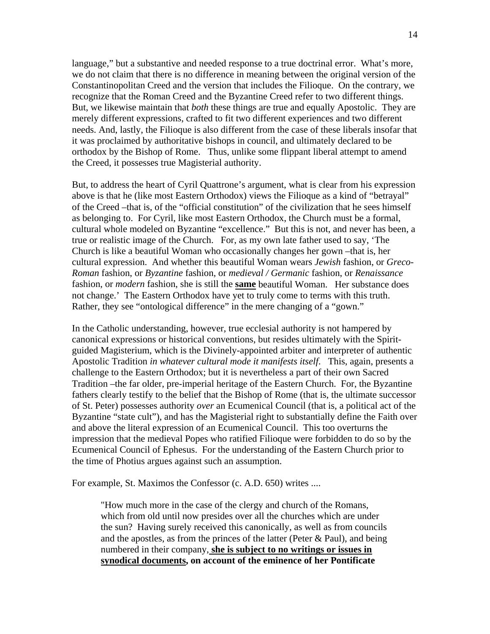language," but a substantive and needed response to a true doctrinal error. What's more, we do not claim that there is no difference in meaning between the original version of the Constantinopolitan Creed and the version that includes the Filioque. On the contrary, we recognize that the Roman Creed and the Byzantine Creed refer to two different things. But, we likewise maintain that *both* these things are true and equally Apostolic. They are merely different expressions, crafted to fit two different experiences and two different needs. And, lastly, the Filioque is also different from the case of these liberals insofar that it was proclaimed by authoritative bishops in council, and ultimately declared to be orthodox by the Bishop of Rome. Thus, unlike some flippant liberal attempt to amend the Creed, it possesses true Magisterial authority.

But, to address the heart of Cyril Quattrone's argument, what is clear from his expression above is that he (like most Eastern Orthodox) views the Filioque as a kind of "betrayal" of the Creed –that is, of the "official constitution" of the civilization that he sees himself as belonging to. For Cyril, like most Eastern Orthodox, the Church must be a formal, cultural whole modeled on Byzantine "excellence." But this is not, and never has been, a true or realistic image of the Church. For, as my own late father used to say, 'The Church is like a beautiful Woman who occasionally changes her gown –that is, her cultural expression. And whether this beautiful Woman wears *Jewish* fashion, or *Greco-Roman* fashion, or *Byzantine* fashion, or *medieval / Germanic* fashion, or *Renaissance* fashion, or *modern* fashion, she is still the **same** beautiful Woman. Her substance does not change.' The Eastern Orthodox have yet to truly come to terms with this truth. Rather, they see "ontological difference" in the mere changing of a "gown."

In the Catholic understanding, however, true ecclesial authority is not hampered by canonical expressions or historical conventions, but resides ultimately with the Spiritguided Magisterium, which is the Divinely-appointed arbiter and interpreter of authentic Apostolic Tradition *in whatever cultural mode it manifests itself*. This, again, presents a challenge to the Eastern Orthodox; but it is nevertheless a part of their own Sacred Tradition –the far older, pre-imperial heritage of the Eastern Church. For, the Byzantine fathers clearly testify to the belief that the Bishop of Rome (that is, the ultimate successor of St. Peter) possesses authority *over* an Ecumenical Council (that is, a political act of the Byzantine "state cult"), and has the Magisterial right to substantially define the Faith over and above the literal expression of an Ecumenical Council. This too overturns the impression that the medieval Popes who ratified Filioque were forbidden to do so by the Ecumenical Council of Ephesus. For the understanding of the Eastern Church prior to the time of Photius argues against such an assumption.

For example, St. Maximos the Confessor (c. A.D. 650) writes ....

"How much more in the case of the clergy and church of the Romans, which from old until now presides over all the churches which are under the sun? Having surely received this canonically, as well as from councils and the apostles, as from the princes of the latter (Peter  $\&$  Paul), and being numbered in their company, **she is subject to no writings or issues in synodical documents, on account of the eminence of her Pontificate**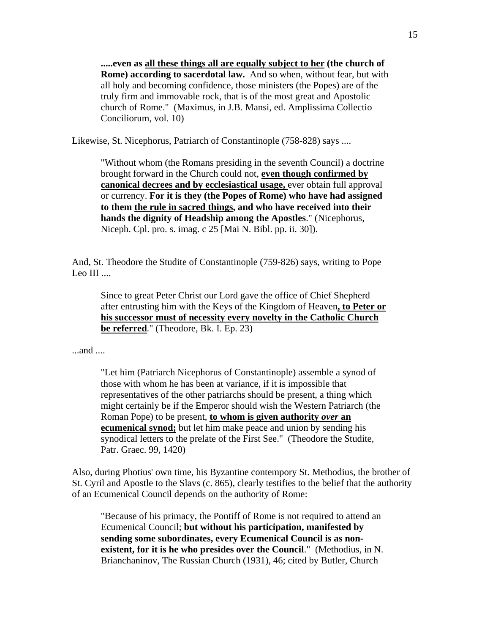**.....even as all these things all are equally subject to her (the church of Rome) according to sacerdotal law.** And so when, without fear, but with all holy and becoming confidence, those ministers (the Popes) are of the truly firm and immovable rock, that is of the most great and Apostolic church of Rome." (Maximus, in J.B. Mansi, ed. Amplissima Collectio Conciliorum, vol. 10)

Likewise, St. Nicephorus, Patriarch of Constantinople (758-828) says ....

"Without whom (the Romans presiding in the seventh Council) a doctrine brought forward in the Church could not, **even though confirmed by canonical decrees and by ecclesiastical usage,** ever obtain full approval or currency. **For it is they (the Popes of Rome) who have had assigned to them the rule in sacred things, and who have received into their hands the dignity of Headship among the Apostles**." (Nicephorus, Niceph. Cpl. pro. s. imag. c 25 [Mai N. Bibl. pp. ii. 30]).

And, St. Theodore the Studite of Constantinople (759-826) says, writing to Pope Leo III ....

Since to great Peter Christ our Lord gave the office of Chief Shepherd after entrusting him with the Keys of the Kingdom of Heaven**, to Peter or his successor must of necessity every novelty in the Catholic Church be referred**." (Theodore, Bk. I. Ep. 23)

...and ....

"Let him (Patriarch Nicephorus of Constantinople) assemble a synod of those with whom he has been at variance, if it is impossible that representatives of the other patriarchs should be present, a thing which might certainly be if the Emperor should wish the Western Patriarch (the Roman Pope) to be present, **to whom is given authority** *over* **an ecumenical synod;** but let him make peace and union by sending his synodical letters to the prelate of the First See." (Theodore the Studite, Patr. Graec. 99, 1420)

Also, during Photius' own time, his Byzantine contempory St. Methodius, the brother of St. Cyril and Apostle to the Slavs (c. 865), clearly testifies to the belief that the authority of an Ecumenical Council depends on the authority of Rome:

"Because of his primacy, the Pontiff of Rome is not required to attend an Ecumenical Council; **but without his participation, manifested by sending some subordinates, every Ecumenical Council is as nonexistent, for it is he who presides over the Council**." (Methodius, in N. Brianchaninov, The Russian Church (1931), 46; cited by Butler, Church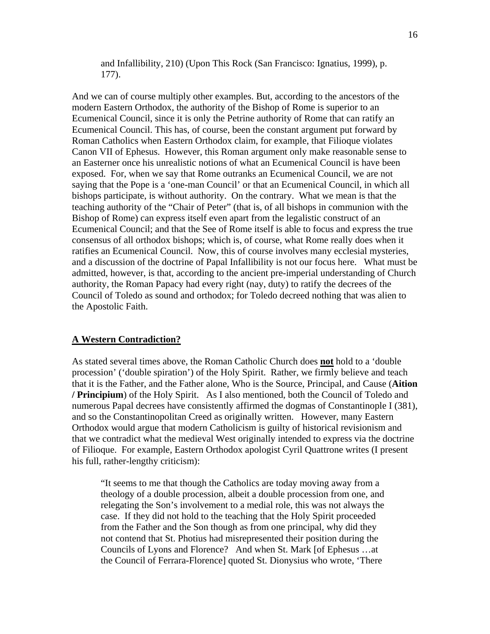and Infallibility, 210) (Upon This Rock (San Francisco: Ignatius, 1999), p. 177).

And we can of course multiply other examples. But, according to the ancestors of the modern Eastern Orthodox, the authority of the Bishop of Rome is superior to an Ecumenical Council, since it is only the Petrine authority of Rome that can ratify an Ecumenical Council. This has, of course, been the constant argument put forward by Roman Catholics when Eastern Orthodox claim, for example, that Filioque violates Canon VII of Ephesus. However, this Roman argument only make reasonable sense to an Easterner once his unrealistic notions of what an Ecumenical Council is have been exposed. For, when we say that Rome outranks an Ecumenical Council, we are not saying that the Pope is a 'one-man Council' or that an Ecumenical Council, in which all bishops participate, is without authority. On the contrary. What we mean is that the teaching authority of the "Chair of Peter" (that is, of all bishops in communion with the Bishop of Rome) can express itself even apart from the legalistic construct of an Ecumenical Council; and that the See of Rome itself is able to focus and express the true consensus of all orthodox bishops; which is, of course, what Rome really does when it ratifies an Ecumenical Council. Now, this of course involves many ecclesial mysteries, and a discussion of the doctrine of Papal Infallibility is not our focus here. What must be admitted, however, is that, according to the ancient pre-imperial understanding of Church authority, the Roman Papacy had every right (nay, duty) to ratify the decrees of the Council of Toledo as sound and orthodox; for Toledo decreed nothing that was alien to the Apostolic Faith.

#### **A Western Contradiction?**

As stated several times above, the Roman Catholic Church does **not** hold to a 'double procession' ('double spiration') of the Holy Spirit. Rather, we firmly believe and teach that it is the Father, and the Father alone, Who is the Source, Principal, and Cause (**Aition / Principium**) of the Holy Spirit. As I also mentioned, both the Council of Toledo and numerous Papal decrees have consistently affirmed the dogmas of Constantinople I (381), and so the Constantinopolitan Creed as originally written. However, many Eastern Orthodox would argue that modern Catholicism is guilty of historical revisionism and that we contradict what the medieval West originally intended to express via the doctrine of Filioque. For example, Eastern Orthodox apologist Cyril Quattrone writes (I present his full, rather-lengthy criticism):

"It seems to me that though the Catholics are today moving away from a theology of a double procession, albeit a double procession from one, and relegating the Son's involvement to a medial role, this was not always the case. If they did not hold to the teaching that the Holy Spirit proceeded from the Father and the Son though as from one principal, why did they not contend that St. Photius had misrepresented their position during the Councils of Lyons and Florence? And when St. Mark [of Ephesus …at the Council of Ferrara-Florence] quoted St. Dionysius who wrote, 'There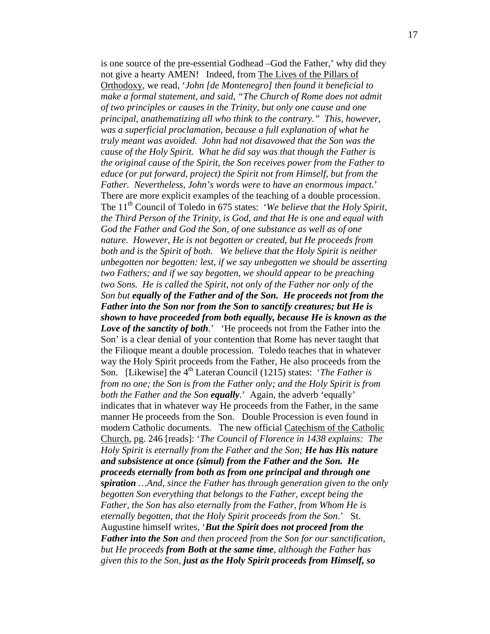is one source of the pre-essential Godhead –God the Father,' why did they not give a hearty AMEN! Indeed, from The Lives of the Pillars of Orthodoxy, we read, '*John [de Montenegro] then found it beneficial to make a formal statement, and said, "The Church of Rome does not admit of two principles or causes in the Trinity, but only one cause and one principal, anathematizing all who think to the contrary." This, however, was a superficial proclamation, because a full explanation of what he truly meant was avoided. John had not disavowed that the Son was the cause of the Holy Spirit. What he did say was that though the Father is the original cause of the Spirit, the Son receives power from the Father to educe (or put forward, project) the Spirit not from Himself, but from the Father. Nevertheless, John's words were to have an enormous impact.*' There are more explicit examples of the teaching of a double procession. The 11<sup>th</sup> Council of Toledo in 675 states: 'We believe that the Holy Spirit, *the Third Person of the Trinity, is God, and that He is one and equal with God the Father and God the Son, of one substance as well as of one nature. However, He is not begotten or created, but He proceeds from both and is the Spirit of both. We believe that the Holy Spirit is neither unbegotten nor begotten: lest, if we say unbegotten we should be asserting two Fathers; and if we say begotten, we should appear to be preaching two Sons. He is called the Spirit, not only of the Father nor only of the Son but equally of the Father and of the Son. He proceeds not from the Father into the Son nor from the Son to sanctify creatures; but He is shown to have proceeded from both equally, because He is known as the Love of the sanctity of both*.' 'He proceeds not from the Father into the Son' is a clear denial of your contention that Rome has never taught that the Filioque meant a double procession. Toledo teaches that in whatever way the Holy Spirit proceeds from the Father, He also proceeds from the Son. [Likewise] the 4<sup>th</sup> Lateran Council (1215) states: '*The Father is from no one; the Son is from the Father only; and the Holy Spirit is from both the Father and the Son equally*.' Again, the adverb 'equally' indicates that in whatever way He proceeds from the Father, in the same manner He proceeds from the Son. Double Procession is even found in modern Catholic documents. The new official Catechism of the Catholic Church, pg. 246 [reads]: '*The Council of Florence in 1438 explains: The Holy Spirit is eternally from the Father and the Son; He has His nature and subsistence at once (simul) from the Father and the Son. He proceeds eternally from both as from one principal and through one spiration …And, since the Father has through generation given to the only begotten Son everything that belongs to the Father, except being the Father, the Son has also eternally from the Father, from Whom He is eternally begotten, that the Holy Spirit proceeds from the Son*.' St. Augustine himself writes, '*But the Spirit does not proceed from the Father into the Son and then proceed from the Son for our sanctification, but He proceeds from Both at the same time, although the Father has given this to the Son, just as the Holy Spirit proceeds from Himself, so*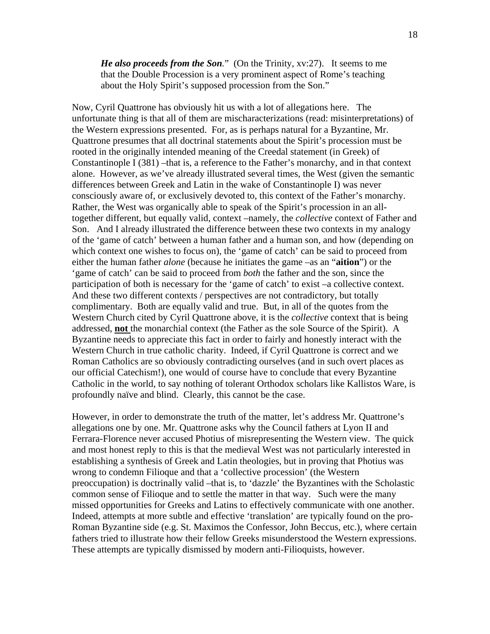*He also proceeds from the Son.*" (On the Trinity, xv:27). It seems to me that the Double Procession is a very prominent aspect of Rome's teaching about the Holy Spirit's supposed procession from the Son."

Now, Cyril Quattrone has obviously hit us with a lot of allegations here. The unfortunate thing is that all of them are mischaracterizations (read: misinterpretations) of the Western expressions presented. For, as is perhaps natural for a Byzantine, Mr. Quattrone presumes that all doctrinal statements about the Spirit's procession must be rooted in the originally intended meaning of the Creedal statement (in Greek) of Constantinople I (381) –that is, a reference to the Father's monarchy, and in that context alone. However, as we've already illustrated several times, the West (given the semantic differences between Greek and Latin in the wake of Constantinople I) was never consciously aware of, or exclusively devoted to, this context of the Father's monarchy. Rather, the West was organically able to speak of the Spirit's procession in an alltogether different, but equally valid, context –namely, the *collective* context of Father and Son. And I already illustrated the difference between these two contexts in my analogy of the 'game of catch' between a human father and a human son, and how (depending on which context one wishes to focus on), the 'game of catch' can be said to proceed from either the human father *alone* (because he initiates the game –as an "**aition**") or the 'game of catch' can be said to proceed from *both* the father and the son, since the participation of both is necessary for the 'game of catch' to exist –a collective context. And these two different contexts / perspectives are not contradictory, but totally complimentary. Both are equally valid and true. But, in all of the quotes from the Western Church cited by Cyril Quattrone above, it is the *collective* context that is being addressed, **not** the monarchial context (the Father as the sole Source of the Spirit). A Byzantine needs to appreciate this fact in order to fairly and honestly interact with the Western Church in true catholic charity. Indeed, if Cyril Quattrone is correct and we Roman Catholics are so obviously contradicting ourselves (and in such overt places as our official Catechism!), one would of course have to conclude that every Byzantine Catholic in the world, to say nothing of tolerant Orthodox scholars like Kallistos Ware, is profoundly naïve and blind. Clearly, this cannot be the case.

However, in order to demonstrate the truth of the matter, let's address Mr. Quattrone's allegations one by one. Mr. Quattrone asks why the Council fathers at Lyon II and Ferrara-Florence never accused Photius of misrepresenting the Western view. The quick and most honest reply to this is that the medieval West was not particularly interested in establishing a synthesis of Greek and Latin theologies, but in proving that Photius was wrong to condemn Filioque and that a 'collective procession' (the Western preoccupation) is doctrinally valid –that is, to 'dazzle' the Byzantines with the Scholastic common sense of Filioque and to settle the matter in that way. Such were the many missed opportunities for Greeks and Latins to effectively communicate with one another. Indeed, attempts at more subtle and effective 'translation' are typically found on the pro-Roman Byzantine side (e.g. St. Maximos the Confessor, John Beccus, etc.), where certain fathers tried to illustrate how their fellow Greeks misunderstood the Western expressions. These attempts are typically dismissed by modern anti-Filioquists, however.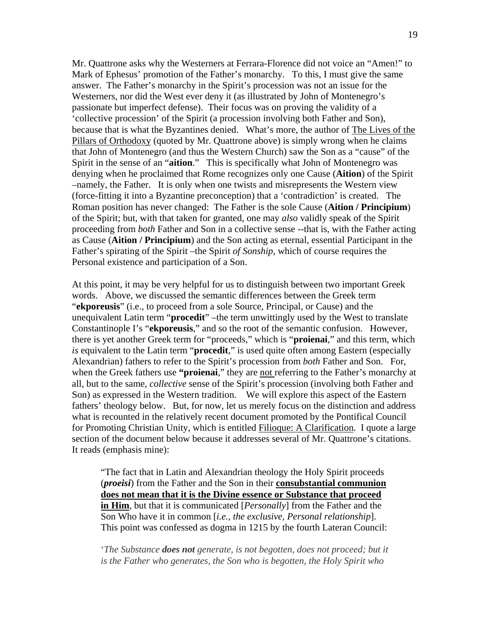Mr. Quattrone asks why the Westerners at Ferrara-Florence did not voice an "Amen!" to Mark of Ephesus' promotion of the Father's monarchy. To this, I must give the same answer. The Father's monarchy in the Spirit's procession was not an issue for the Westerners, nor did the West ever deny it (as illustrated by John of Montenegro's passionate but imperfect defense). Their focus was on proving the validity of a 'collective procession' of the Spirit (a procession involving both Father and Son), because that is what the Byzantines denied. What's more, the author of The Lives of the Pillars of Orthodoxy (quoted by Mr. Quattrone above) is simply wrong when he claims that John of Montenegro (and thus the Western Church) saw the Son as a "cause" of the Spirit in the sense of an "**aition**." This is specifically what John of Montenegro was denying when he proclaimed that Rome recognizes only one Cause (**Aition**) of the Spirit –namely, the Father. It is only when one twists and misrepresents the Western view (force-fitting it into a Byzantine preconception) that a 'contradiction' is created. The Roman position has never changed: The Father is the sole Cause (**Aition / Principium**) of the Spirit; but, with that taken for granted, one may *also* validly speak of the Spirit proceeding from *both* Father and Son in a collective sense --that is, with the Father acting as Cause (**Aition / Principium**) and the Son acting as eternal, essential Participant in the Father's spirating of the Spirit –the Spirit *of Sonship*, which of course requires the Personal existence and participation of a Son.

At this point, it may be very helpful for us to distinguish between two important Greek words. Above, we discussed the semantic differences between the Greek term "**ekporeusis**" (i.e., to proceed from a sole Source, Principal, or Cause) and the unequivalent Latin term "**procedit**" –the term unwittingly used by the West to translate Constantinople I's "**ekporeusis**," and so the root of the semantic confusion. However, there is yet another Greek term for "proceeds," which is "**proienai**," and this term, which *is* equivalent to the Latin term "**procedit**," is used quite often among Eastern (especially Alexandrian) fathers to refer to the Spirit's procession from *both* Father and Son. For, when the Greek fathers use **"proienai**," they are not referring to the Father's monarchy at all, but to the same, *collective* sense of the Spirit's procession (involving both Father and Son) as expressed in the Western tradition. We will explore this aspect of the Eastern fathers' theology below. But, for now, let us merely focus on the distinction and address what is recounted in the relatively recent document promoted by the Pontifical Council for Promoting Christian Unity, which is entitled Filioque: A Clarification. I quote a large section of the document below because it addresses several of Mr. Quattrone's citations. It reads (emphasis mine):

"The fact that in Latin and Alexandrian theology the Holy Spirit proceeds (*proeisi*) from the Father and the Son in their **consubstantial communion does not mean that it is the Divine essence or Substance that proceed in Him**, but that it is communicated [*Personally*] from the Father and the Son Who have it in common [*i.e., the exclusive, Personal relationship*]. This point was confessed as dogma in 1215 by the fourth Lateran Council:

'*The Substance does not generate, is not begotten, does not proceed; but it is the Father who generates, the Son who is begotten, the Holy Spirit who*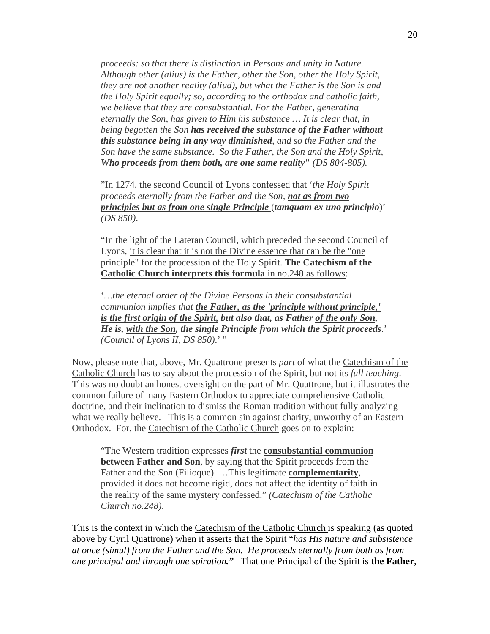*proceeds: so that there is distinction in Persons and unity in Nature. Although other (alius) is the Father, other the Son, other the Holy Spirit, they are not another reality (aliud), but what the Father is the Son is and the Holy Spirit equally; so, according to the orthodox and catholic faith, we believe that they are consubstantial. For the Father, generating eternally the Son, has given to Him his substance … It is clear that, in being begotten the Son has received the substance of the Father without this substance being in any way diminished, and so the Father and the Son have the same substance. So the Father, the Son and the Holy Spirit, Who proceeds from them both, are one same reality***"** *(DS 804-805).* 

"In 1274, the second Council of Lyons confessed that '*the Holy Spirit proceeds eternally from the Father and the Son, not as from two principles but as from one single Principle* (*tamquam ex uno principio*)' *(DS 850)*.

"In the light of the Lateran Council, which preceded the second Council of Lyons, it is clear that it is not the Divine essence that can be the "one principle" for the procession of the Holy Spirit. **The Catechism of the Catholic Church interprets this formula** in no.248 as follows:

'*…the eternal order of the Divine Persons in their consubstantial communion implies that the Father, as the 'principle without principle,' is the first origin of the Spirit, but also that, as Father of the only Son, He is, with the Son, the single Principle from which the Spirit proceeds*.' *(Council of Lyons II, DS 850)*.' "

Now, please note that, above, Mr. Quattrone presents *part* of what the Catechism of the Catholic Church has to say about the procession of the Spirit, but not its *full teaching*. This was no doubt an honest oversight on the part of Mr. Quattrone, but it illustrates the common failure of many Eastern Orthodox to appreciate comprehensive Catholic doctrine, and their inclination to dismiss the Roman tradition without fully analyzing what we really believe. This is a common sin against charity, unworthy of an Eastern Orthodox. For, the Catechism of the Catholic Church goes on to explain:

"The Western tradition expresses *first* the **consubstantial communion between Father and Son**, by saying that the Spirit proceeds from the Father and the Son (Filioque). …This legitimate **complementarity**, provided it does not become rigid, does not affect the identity of faith in the reality of the same mystery confessed." *(Catechism of the Catholic Church no.248)*.

This is the context in which the Catechism of the Catholic Church is speaking (as quoted above by Cyril Quattrone) when it asserts that the Spirit "*has His nature and subsistence at once (simul) from the Father and the Son. He proceeds eternally from both as from one principal and through one spiration."* That one Principal of the Spirit is **the Father**,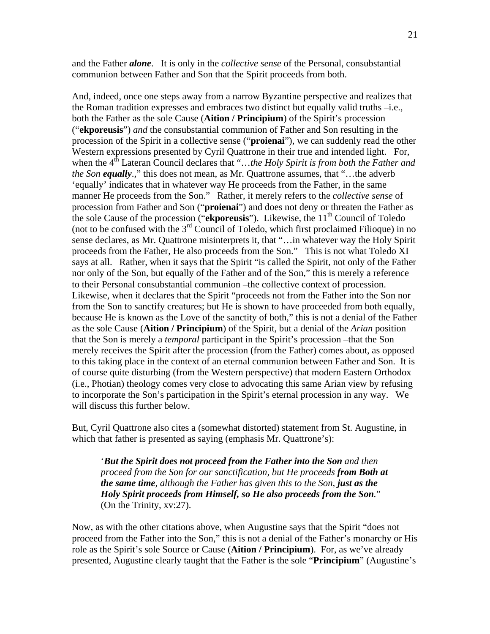and the Father *alone*. It is only in the *collective sense* of the Personal, consubstantial communion between Father and Son that the Spirit proceeds from both.

And, indeed, once one steps away from a narrow Byzantine perspective and realizes that the Roman tradition expresses and embraces two distinct but equally valid truths –i.e., both the Father as the sole Cause (**Aition / Principium**) of the Spirit's procession ("**ekporeusis**") *and* the consubstantial communion of Father and Son resulting in the procession of the Spirit in a collective sense ("**proienai**"), we can suddenly read the other Western expressions presented by Cyril Quattrone in their true and intended light. For, when the 4<sup>th</sup> Lateran Council declares that "...*the Holy Spirit is from both the Father and the Son equally*.," this does not mean, as Mr. Quattrone assumes, that "…the adverb 'equally' indicates that in whatever way He proceeds from the Father, in the same manner He proceeds from the Son." Rather, it merely refers to the *collective sense* of procession from Father and Son ("**proienai**") and does not deny or threaten the Father as the sole Cause of the procession ("**ekporeusis**"). Likewise, the 11th Council of Toledo (not to be confused with the  $3<sup>rd</sup>$  Council of Toledo, which first proclaimed Filioque) in no sense declares, as Mr. Quattrone misinterprets it, that "…in whatever way the Holy Spirit proceeds from the Father, He also proceeds from the Son." This is not what Toledo XI says at all. Rather, when it says that the Spirit "is called the Spirit, not only of the Father nor only of the Son, but equally of the Father and of the Son," this is merely a reference to their Personal consubstantial communion –the collective context of procession. Likewise, when it declares that the Spirit "proceeds not from the Father into the Son nor from the Son to sanctify creatures; but He is shown to have proceeded from both equally, because He is known as the Love of the sanctity of both," this is not a denial of the Father as the sole Cause (**Aition / Principium**) of the Spirit, but a denial of the *Arian* position that the Son is merely a *temporal* participant in the Spirit's procession –that the Son merely receives the Spirit after the procession (from the Father) comes about, as opposed to this taking place in the context of an eternal communion between Father and Son. It is of course quite disturbing (from the Western perspective) that modern Eastern Orthodox (i.e., Photian) theology comes very close to advocating this same Arian view by refusing to incorporate the Son's participation in the Spirit's eternal procession in any way. We will discuss this further below.

But, Cyril Quattrone also cites a (somewhat distorted) statement from St. Augustine, in which that father is presented as saying (emphasis Mr. Quattrone's):

'*But the Spirit does not proceed from the Father into the Son and then proceed from the Son for our sanctification, but He proceeds from Both at the same time, although the Father has given this to the Son, just as the Holy Spirit proceeds from Himself, so He also proceeds from the Son.*" (On the Trinity, xv:27).

Now, as with the other citations above, when Augustine says that the Spirit "does not proceed from the Father into the Son," this is not a denial of the Father's monarchy or His role as the Spirit's sole Source or Cause (**Aition / Principium**). For, as we've already presented, Augustine clearly taught that the Father is the sole "**Principium**" (Augustine's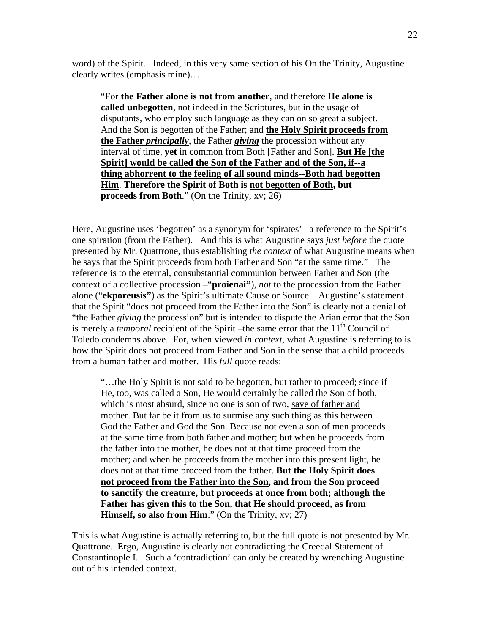word) of the Spirit. Indeed, in this very same section of his On the Trinity, Augustine clearly writes (emphasis mine)…

"For **the Father alone is not from another**, and therefore **He alone is called unbegotten**, not indeed in the Scriptures, but in the usage of disputants, who employ such language as they can on so great a subject. And the Son is begotten of the Father; and **the Holy Spirit proceeds from the Father** *principally,* the Father *giving* the procession without any interval of time, **yet** in common from Both [Father and Son]. **But He [the Spirit] would be called the Son of the Father and of the Son, if--a thing abhorrent to the feeling of all sound minds--Both had begotten Him**. **Therefore the Spirit of Both is not begotten of Both, but proceeds from Both**." (On the Trinity, xv; 26)

Here, Augustine uses 'begotten' as a synonym for 'spirates' –a reference to the Spirit's one spiration (from the Father). And this is what Augustine says *just before* the quote presented by Mr. Quattrone, thus establishing *the context* of what Augustine means when he says that the Spirit proceeds from both Father and Son "at the same time." The reference is to the eternal, consubstantial communion between Father and Son (the context of a collective procession –"**proienai"**), *not* to the procession from the Father alone ("**ekporeusis"**) as the Spirit's ultimate Cause or Source. Augustine's statement that the Spirit "does not proceed from the Father into the Son" is clearly not a denial of "the Father *giving* the procession" but is intended to dispute the Arian error that the Son is merely a *temporal* recipient of the Spirit –the same error that the 11<sup>th</sup> Council of Toledo condemns above. For, when viewed *in context*, what Augustine is referring to is how the Spirit does not proceed from Father and Son in the sense that a child proceeds from a human father and mother. His *full* quote reads:

"…the Holy Spirit is not said to be begotten, but rather to proceed; since if He, too, was called a Son, He would certainly be called the Son of both, which is most absurd, since no one is son of two, save of father and mother. But far be it from us to surmise any such thing as this between God the Father and God the Son. Because not even a son of men proceeds at the same time from both father and mother; but when he proceeds from the father into the mother, he does not at that time proceed from the mother; and when he proceeds from the mother into this present light, he does not at that time proceed from the father. **But the Holy Spirit does not proceed from the Father into the Son, and from the Son proceed to sanctify the creature, but proceeds at once from both; although the Father has given this to the Son, that He should proceed, as from Himself, so also from Him**." (On the Trinity, xv; 27)

This is what Augustine is actually referring to, but the full quote is not presented by Mr. Quattrone. Ergo, Augustine is clearly not contradicting the Creedal Statement of Constantinople I. Such a 'contradiction' can only be created by wrenching Augustine out of his intended context.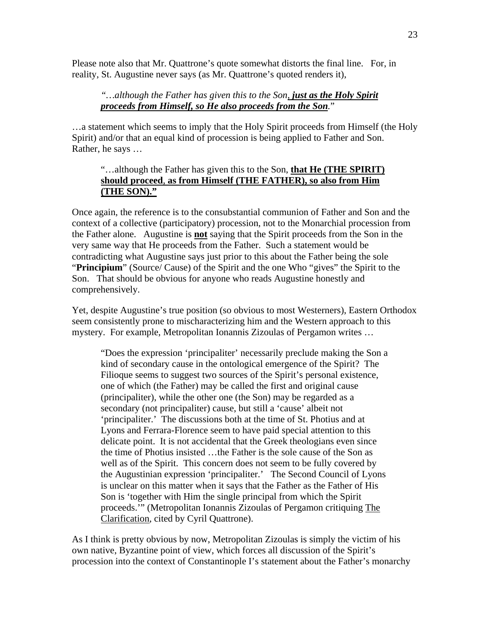Please note also that Mr. Quattrone's quote somewhat distorts the final line. For, in reality, St. Augustine never says (as Mr. Quattrone's quoted renders it),

# *"…although the Father has given this to the Son, just as the Holy Spirit proceeds from Himself, so He also proceeds from the Son.*"

…a statement which seems to imply that the Holy Spirit proceeds from Himself (the Holy Spirit) and/or that an equal kind of procession is being applied to Father and Son. Rather, he says …

# "…although the Father has given this to the Son, **that He (THE SPIRIT) should proceed**, **as from Himself (THE FATHER), so also from Him (THE SON)."**

Once again, the reference is to the consubstantial communion of Father and Son and the context of a collective (participatory) procession, not to the Monarchial procession from the Father alone. Augustine is **not** saying that the Spirit proceeds from the Son in the very same way that He proceeds from the Father. Such a statement would be contradicting what Augustine says just prior to this about the Father being the sole "**Principium**" (Source/ Cause) of the Spirit and the one Who "gives" the Spirit to the Son. That should be obvious for anyone who reads Augustine honestly and comprehensively.

Yet, despite Augustine's true position (so obvious to most Westerners), Eastern Orthodox seem consistently prone to mischaracterizing him and the Western approach to this mystery. For example, Metropolitan Ionannis Zizoulas of Pergamon writes …

"Does the expression 'principaliter' necessarily preclude making the Son a kind of secondary cause in the ontological emergence of the Spirit? The Filioque seems to suggest two sources of the Spirit's personal existence, one of which (the Father) may be called the first and original cause (principaliter), while the other one (the Son) may be regarded as a secondary (not principaliter) cause, but still a 'cause' albeit not 'principaliter.' The discussions both at the time of St. Photius and at Lyons and Ferrara-Florence seem to have paid special attention to this delicate point. It is not accidental that the Greek theologians even since the time of Photius insisted …the Father is the sole cause of the Son as well as of the Spirit. This concern does not seem to be fully covered by the Augustinian expression 'principaliter.' The Second Council of Lyons is unclear on this matter when it says that the Father as the Father of His Son is 'together with Him the single principal from which the Spirit proceeds.'" (Metropolitan Ionannis Zizoulas of Pergamon critiquing The Clarification, cited by Cyril Quattrone).

As I think is pretty obvious by now, Metropolitan Zizoulas is simply the victim of his own native, Byzantine point of view, which forces all discussion of the Spirit's procession into the context of Constantinople I's statement about the Father's monarchy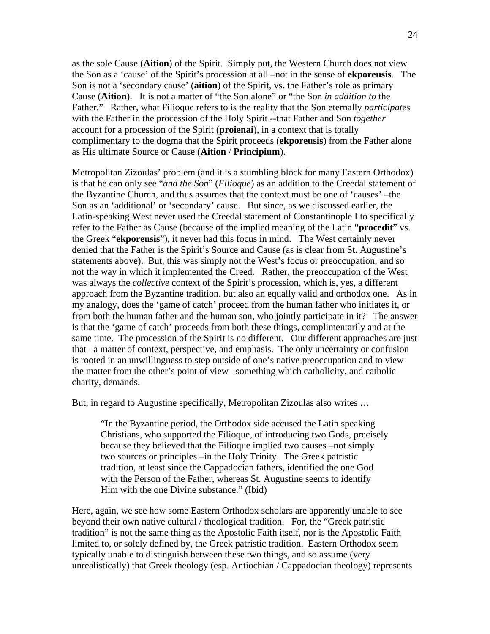as the sole Cause (**Aition**) of the Spirit. Simply put, the Western Church does not view the Son as a 'cause' of the Spirit's procession at all –not in the sense of **ekporeusis**. The Son is not a 'secondary cause' (**aition**) of the Spirit, vs. the Father's role as primary Cause (**Aition**). It is not a matter of "the Son alone" or "the Son *in addition to* the Father." Rather, what Filioque refers to is the reality that the Son eternally *participates* with the Father in the procession of the Holy Spirit --that Father and Son *together* account for a procession of the Spirit (**proienai**), in a context that is totally complimentary to the dogma that the Spirit proceeds (**ekporeusis**) from the Father alone as His ultimate Source or Cause (**Aition** / **Principium**).

Metropolitan Zizoulas' problem (and it is a stumbling block for many Eastern Orthodox) is that he can only see "*and the Son*" (*Filioque*) as an addition to the Creedal statement of the Byzantine Church, and thus assumes that the context must be one of 'causes' –the Son as an 'additional' or 'secondary' cause. But since, as we discussed earlier, the Latin-speaking West never used the Creedal statement of Constantinople I to specifically refer to the Father as Cause (because of the implied meaning of the Latin "**procedit**" vs. the Greek "**ekporeusis**"), it never had this focus in mind. The West certainly never denied that the Father is the Spirit's Source and Cause (as is clear from St. Augustine's statements above). But, this was simply not the West's focus or preoccupation, and so not the way in which it implemented the Creed. Rather, the preoccupation of the West was always the *collective* context of the Spirit's procession, which is, yes, a different approach from the Byzantine tradition, but also an equally valid and orthodox one. As in my analogy, does the 'game of catch' proceed from the human father who initiates it, or from both the human father and the human son, who jointly participate in it? The answer is that the 'game of catch' proceeds from both these things, complimentarily and at the same time. The procession of the Spirit is no different. Our different approaches are just that –a matter of context, perspective, and emphasis. The only uncertainty or confusion is rooted in an unwillingness to step outside of one's native preoccupation and to view the matter from the other's point of view –something which catholicity, and catholic charity, demands.

But, in regard to Augustine specifically, Metropolitan Zizoulas also writes …

"In the Byzantine period, the Orthodox side accused the Latin speaking Christians, who supported the Filioque, of introducing two Gods, precisely because they believed that the Filioque implied two causes –not simply two sources or principles –in the Holy Trinity. The Greek patristic tradition, at least since the Cappadocian fathers, identified the one God with the Person of the Father, whereas St. Augustine seems to identify Him with the one Divine substance." (Ibid)

Here, again, we see how some Eastern Orthodox scholars are apparently unable to see beyond their own native cultural / theological tradition. For, the "Greek patristic tradition" is not the same thing as the Apostolic Faith itself, nor is the Apostolic Faith limited to, or solely defined by, the Greek patristic tradition. Eastern Orthodox seem typically unable to distinguish between these two things, and so assume (very unrealistically) that Greek theology (esp. Antiochian / Cappadocian theology) represents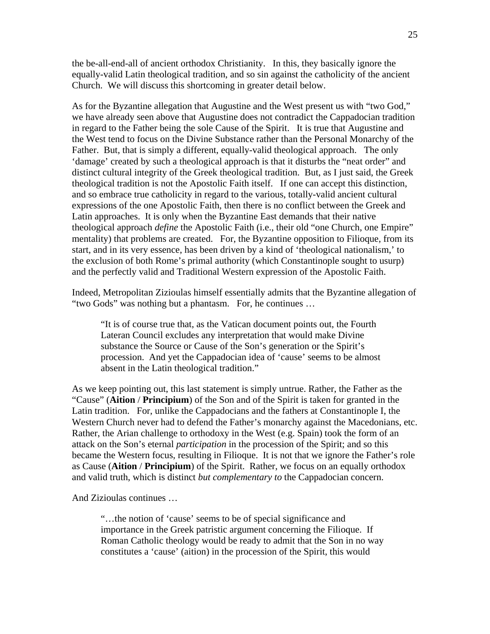the be-all-end-all of ancient orthodox Christianity. In this, they basically ignore the equally-valid Latin theological tradition, and so sin against the catholicity of the ancient Church. We will discuss this shortcoming in greater detail below.

As for the Byzantine allegation that Augustine and the West present us with "two God," we have already seen above that Augustine does not contradict the Cappadocian tradition in regard to the Father being the sole Cause of the Spirit. It is true that Augustine and the West tend to focus on the Divine Substance rather than the Personal Monarchy of the Father. But, that is simply a different, equally-valid theological approach. The only 'damage' created by such a theological approach is that it disturbs the "neat order" and distinct cultural integrity of the Greek theological tradition. But, as I just said, the Greek theological tradition is not the Apostolic Faith itself. If one can accept this distinction, and so embrace true catholicity in regard to the various, totally-valid ancient cultural expressions of the one Apostolic Faith, then there is no conflict between the Greek and Latin approaches. It is only when the Byzantine East demands that their native theological approach *define* the Apostolic Faith (i.e., their old "one Church, one Empire" mentality) that problems are created. For, the Byzantine opposition to Filioque, from its start, and in its very essence, has been driven by a kind of 'theological nationalism,' to the exclusion of both Rome's primal authority (which Constantinople sought to usurp) and the perfectly valid and Traditional Western expression of the Apostolic Faith.

Indeed, Metropolitan Zizioulas himself essentially admits that the Byzantine allegation of "two Gods" was nothing but a phantasm. For, he continues …

"It is of course true that, as the Vatican document points out, the Fourth Lateran Council excludes any interpretation that would make Divine substance the Source or Cause of the Son's generation or the Spirit's procession. And yet the Cappadocian idea of 'cause' seems to be almost absent in the Latin theological tradition."

As we keep pointing out, this last statement is simply untrue. Rather, the Father as the "Cause" (**Aition** / **Principium**) of the Son and of the Spirit is taken for granted in the Latin tradition. For, unlike the Cappadocians and the fathers at Constantinople I, the Western Church never had to defend the Father's monarchy against the Macedonians, etc. Rather, the Arian challenge to orthodoxy in the West (e.g. Spain) took the form of an attack on the Son's eternal *participation* in the procession of the Spirit; and so this became the Western focus, resulting in Filioque. It is not that we ignore the Father's role as Cause (**Aition** / **Principium**) of the Spirit. Rather, we focus on an equally orthodox and valid truth, which is distinct *but complementary to* the Cappadocian concern.

And Zizioulas continues …

"…the notion of 'cause' seems to be of special significance and importance in the Greek patristic argument concerning the Filioque. If Roman Catholic theology would be ready to admit that the Son in no way constitutes a 'cause' (aition) in the procession of the Spirit, this would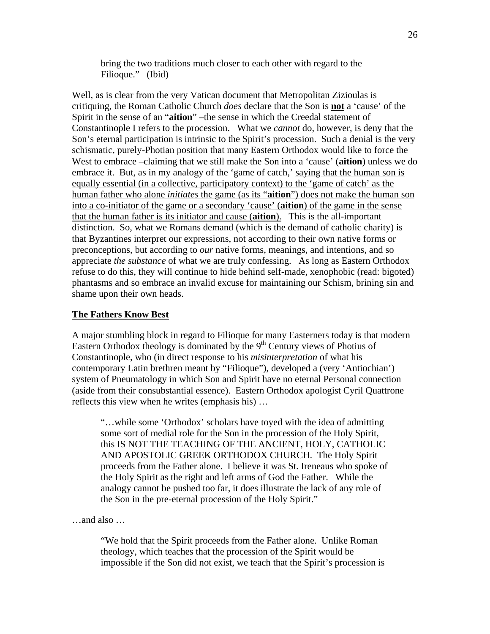bring the two traditions much closer to each other with regard to the Filioque." (Ibid)

Well, as is clear from the very Vatican document that Metropolitan Zizioulas is critiquing, the Roman Catholic Church *does* declare that the Son is **not** a 'cause' of the Spirit in the sense of an "**aition**" –the sense in which the Creedal statement of Constantinople I refers to the procession. What we *cannot* do, however, is deny that the Son's eternal participation is intrinsic to the Spirit's procession. Such a denial is the very schismatic, purely-Photian position that many Eastern Orthodox would like to force the West to embrace –claiming that we still make the Son into a 'cause' (**aition**) unless we do embrace it. But, as in my analogy of the 'game of catch,' saying that the human son is equally essential (in a collective, participatory context) to the 'game of catch' as the human father who alone *initiates* the game (as its "**aition**") does not make the human son into a co-initiator of the game or a secondary 'cause' (**aition**) of the game in the sense that the human father is its initiator and cause (**aition**). This is the all-important distinction. So, what we Romans demand (which is the demand of catholic charity) is that Byzantines interpret our expressions, not according to their own native forms or preconceptions, but according to *our* native forms, meanings, and intentions, and so appreciate *the substance* of what we are truly confessing. As long as Eastern Orthodox refuse to do this, they will continue to hide behind self-made, xenophobic (read: bigoted) phantasms and so embrace an invalid excuse for maintaining our Schism, brining sin and shame upon their own heads.

#### **The Fathers Know Best**

A major stumbling block in regard to Filioque for many Easterners today is that modern Eastern Orthodox theology is dominated by the  $9<sup>th</sup>$  Century views of Photius of Constantinople, who (in direct response to his *misinterpretation* of what his contemporary Latin brethren meant by "Filioque"), developed a (very 'Antiochian') system of Pneumatology in which Son and Spirit have no eternal Personal connection (aside from their consubstantial essence). Eastern Orthodox apologist Cyril Quattrone reflects this view when he writes (emphasis his) …

"…while some 'Orthodox' scholars have toyed with the idea of admitting some sort of medial role for the Son in the procession of the Holy Spirit, this IS NOT THE TEACHING OF THE ANCIENT, HOLY, CATHOLIC AND APOSTOLIC GREEK ORTHODOX CHURCH. The Holy Spirit proceeds from the Father alone. I believe it was St. Ireneaus who spoke of the Holy Spirit as the right and left arms of God the Father. While the analogy cannot be pushed too far, it does illustrate the lack of any role of the Son in the pre-eternal procession of the Holy Spirit."

…and also …

"We hold that the Spirit proceeds from the Father alone. Unlike Roman theology, which teaches that the procession of the Spirit would be impossible if the Son did not exist, we teach that the Spirit's procession is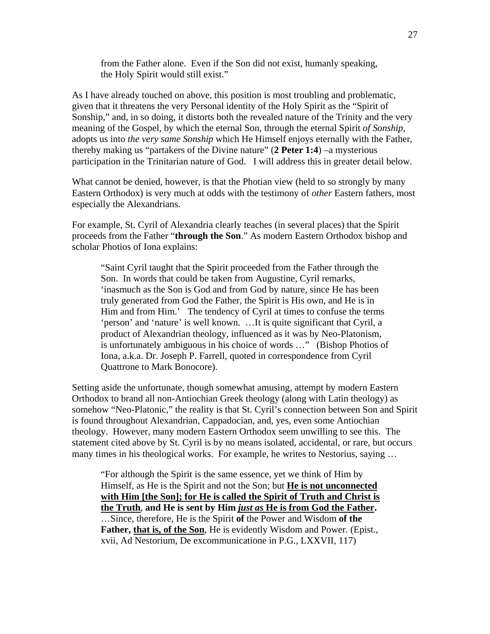from the Father alone. Even if the Son did not exist, humanly speaking, the Holy Spirit would still exist."

As I have already touched on above, this position is most troubling and problematic, given that it threatens the very Personal identity of the Holy Spirit as the "Spirit of Sonship," and, in so doing, it distorts both the revealed nature of the Trinity and the very meaning of the Gospel, by which the eternal Son, through the eternal Spirit *of Sonship*, adopts us into *the very same Sonship* which He Himself enjoys eternally with the Father, thereby making us "partakers of the Divine nature" (**2 Peter 1:4**) –a mysterious participation in the Trinitarian nature of God. I will address this in greater detail below.

What cannot be denied, however, is that the Photian view (held to so strongly by many Eastern Orthodox) is very much at odds with the testimony of *other* Eastern fathers, most especially the Alexandrians.

For example, St. Cyril of Alexandria clearly teaches (in several places) that the Spirit proceeds from the Father "**through the Son**." As modern Eastern Orthodox bishop and scholar Photios of Iona explains:

"Saint Cyril taught that the Spirit proceeded from the Father through the Son. In words that could be taken from Augustine, Cyril remarks, 'inasmuch as the Son is God and from God by nature, since He has been truly generated from God the Father, the Spirit is His own, and He is in Him and from Him.' The tendency of Cyril at times to confuse the terms 'person' and 'nature' is well known. …It is quite significant that Cyril, a product of Alexandrian theology, influenced as it was by Neo-Platonism, is unfortunately ambiguous in his choice of words …" (Bishop Photios of Iona, a.k.a. Dr. Joseph P. Farrell, quoted in correspondence from Cyril Quattrone to Mark Bonocore).

Setting aside the unfortunate, though somewhat amusing, attempt by modern Eastern Orthodox to brand all non-Antiochian Greek theology (along with Latin theology) as somehow "Neo-Platonic," the reality is that St. Cyril's connection between Son and Spirit is found throughout Alexandrian, Cappadocian, and, yes, even some Antiochian theology. However, many modern Eastern Orthodox seem unwilling to see this. The statement cited above by St. Cyril is by no means isolated, accidental, or rare, but occurs many times in his theological works. For example, he writes to Nestorius, saying …

"For although the Spirit is the same essence, yet we think of Him by Himself, as He is the Spirit and not the Son; but **He is not unconnected with Him [the Son]; for He is called the Spirit of Truth and Christ is the Truth**, **and He is sent by Him** *just as* **He is from God the Father.**  …Since, therefore, He is the Spirit **of** the Power and Wisdom **of the Father, that is, of the Son**, He is evidently Wisdom and Power. (Epist., xvii, Ad Nestorium, De excommunicatione in P.G., LXXVII, 117)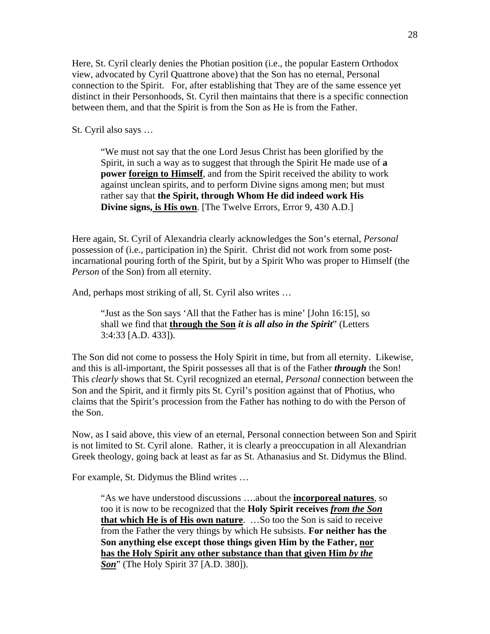Here, St. Cyril clearly denies the Photian position (i.e., the popular Eastern Orthodox view, advocated by Cyril Quattrone above) that the Son has no eternal, Personal connection to the Spirit. For, after establishing that They are of the same essence yet distinct in their Personhoods, St. Cyril then maintains that there is a specific connection between them, and that the Spirit is from the Son as He is from the Father.

St. Cyril also says …

"We must not say that the one Lord Jesus Christ has been glorified by the Spirit, in such a way as to suggest that through the Spirit He made use of **a power foreign to Himself**, and from the Spirit received the ability to work against unclean spirits, and to perform Divine signs among men; but must rather say that **the Spirit, through Whom He did indeed work His Divine signs, is His own**. [The Twelve Errors, Error 9, 430 A.D.]

Here again, St. Cyril of Alexandria clearly acknowledges the Son's eternal, *Personal*  possession of (i.e., participation in) the Spirit. Christ did not work from some postincarnational pouring forth of the Spirit, but by a Spirit Who was proper to Himself (the *Person* of the Son) from all eternity.

And, perhaps most striking of all, St. Cyril also writes …

"Just as the Son says 'All that the Father has is mine' [John 16:15], so shall we find that **through the Son** *it is all also in the Spirit*" (Letters 3:4:33 [A.D. 433]).

The Son did not come to possess the Holy Spirit in time, but from all eternity. Likewise, and this is all-important, the Spirit possesses all that is of the Father *through* the Son! This *clearly* shows that St. Cyril recognized an eternal, *Personal* connection between the Son and the Spirit, and it firmly pits St. Cyril's position against that of Photius, who claims that the Spirit's procession from the Father has nothing to do with the Person of the Son.

Now, as I said above, this view of an eternal, Personal connection between Son and Spirit is not limited to St. Cyril alone. Rather, it is clearly a preoccupation in all Alexandrian Greek theology, going back at least as far as St. Athanasius and St. Didymus the Blind.

For example, St. Didymus the Blind writes …

"As we have understood discussions ….about the **incorporeal natures**, so too it is now to be recognized that the **Holy Spirit receives** *from the Son* **that which He is of His own nature**. …So too the Son is said to receive from the Father the very things by which He subsists. **For neither has the Son anything else except those things given Him by the Father, nor has the Holy Spirit any other substance than that given Him** *by the Son*" (The Holy Spirit 37 [A.D. 380]).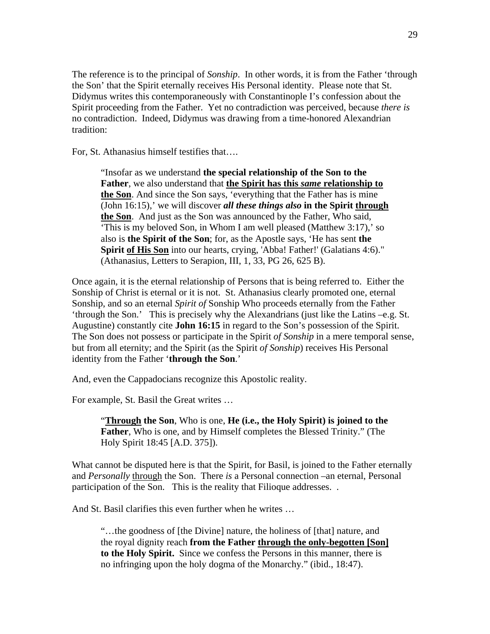The reference is to the principal of *Sonship*. In other words, it is from the Father 'through the Son' that the Spirit eternally receives His Personal identity. Please note that St. Didymus writes this contemporaneously with Constantinople I's confession about the Spirit proceeding from the Father. Yet no contradiction was perceived, because *there is* no contradiction. Indeed, Didymus was drawing from a time-honored Alexandrian tradition:

For, St. Athanasius himself testifies that….

"Insofar as we understand **the special relationship of the Son to the Father**, we also understand that **the Spirit has this** *same* **relationship to the Son**. And since the Son says, 'everything that the Father has is mine (John 16:15),' we will discover *all these things also* **in the Spirit through the Son**. And just as the Son was announced by the Father, Who said, 'This is my beloved Son, in Whom I am well pleased (Matthew 3:17),' so also is **the Spirit of the Son**; for, as the Apostle says, 'He has sent **the Spirit of His Son** into our hearts, crying, 'Abba! Father!' (Galatians 4:6)." (Athanasius, Letters to Serapion, III, 1, 33, PG 26, 625 B)*.* 

Once again, it is the eternal relationship of Persons that is being referred to. Either the Sonship of Christ is eternal or it is not. St. Athanasius clearly promoted one, eternal Sonship, and so an eternal *Spirit of* Sonship Who proceeds eternally from the Father 'through the Son.' This is precisely why the Alexandrians (just like the Latins –e.g. St. Augustine) constantly cite **John 16:15** in regard to the Son's possession of the Spirit. The Son does not possess or participate in the Spirit *of Sonship* in a mere temporal sense, but from all eternity; and the Spirit (as the Spirit *of Sonship*) receives His Personal identity from the Father '**through the Son**.'

And, even the Cappadocians recognize this Apostolic reality.

For example, St. Basil the Great writes …

"**Through the Son**, Who is one, **He (i.e., the Holy Spirit) is joined to the Father**, Who is one, and by Himself completes the Blessed Trinity." (The Holy Spirit 18:45 [A.D. 375]).

What cannot be disputed here is that the Spirit, for Basil, is joined to the Father eternally and *Personally* through the Son. There *is* a Personal connection –an eternal, Personal participation of the Son. This is the reality that Filioque addresses. .

And St. Basil clarifies this even further when he writes …

"…the goodness of [the Divine] nature, the holiness of [that] nature, and the royal dignity reach **from the Father through the only-begotten [Son] to the Holy Spirit.** Since we confess the Persons in this manner, there is no infringing upon the holy dogma of the Monarchy." (ibid., 18:47).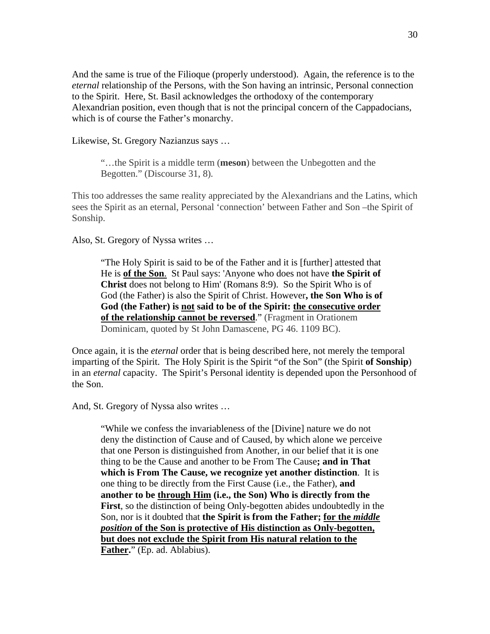And the same is true of the Filioque (properly understood). Again, the reference is to the *eternal* relationship of the Persons, with the Son having an intrinsic, Personal connection to the Spirit. Here, St. Basil acknowledges the orthodoxy of the contemporary Alexandrian position, even though that is not the principal concern of the Cappadocians, which is of course the Father's monarchy.

Likewise, St. Gregory Nazianzus says …

"…the Spirit is a middle term (**meson**) between the Unbegotten and the Begotten." (Discourse 31, 8)*.* 

This too addresses the same reality appreciated by the Alexandrians and the Latins, which sees the Spirit as an eternal, Personal 'connection' between Father and Son –the Spirit of Sonship.

Also, St. Gregory of Nyssa writes …

"The Holy Spirit is said to be of the Father and it is [further] attested that He is **of the Son**. St Paul says: 'Anyone who does not have **the Spirit of Christ** does not belong to Him' (Romans 8:9). So the Spirit Who is of God (the Father) is also the Spirit of Christ. However**, the Son Who is of God (the Father) is not said to be of the Spirit: the consecutive order of the relationship cannot be reversed**." (Fragment in Orationem Dominicam, quoted by St John Damascene, PG 46. 1109 BC).

Once again, it is the *eternal* order that is being described here, not merely the temporal imparting of the Spirit. The Holy Spirit is the Spirit "of the Son" (the Spirit **of Sonship**) in an *eternal* capacity. The Spirit's Personal identity is depended upon the Personhood of the Son.

And, St. Gregory of Nyssa also writes …

"While we confess the invariableness of the [Divine] nature we do not deny the distinction of Cause and of Caused, by which alone we perceive that one Person is distinguished from Another, in our belief that it is one thing to be the Cause and another to be From The Cause**; and in That which is From The Cause, we recognize yet another distinction**. It is one thing to be directly from the First Cause (i.e., the Father), **and another to be through Him (i.e., the Son) Who is directly from the First**, so the distinction of being Only-begotten abides undoubtedly in the Son, nor is it doubted that **the Spirit is from the Father; for the** *middle position* **of the Son is protective of His distinction as Only-begotten, but does not exclude the Spirit from His natural relation to the Father.**" (Ep. ad. Ablabius).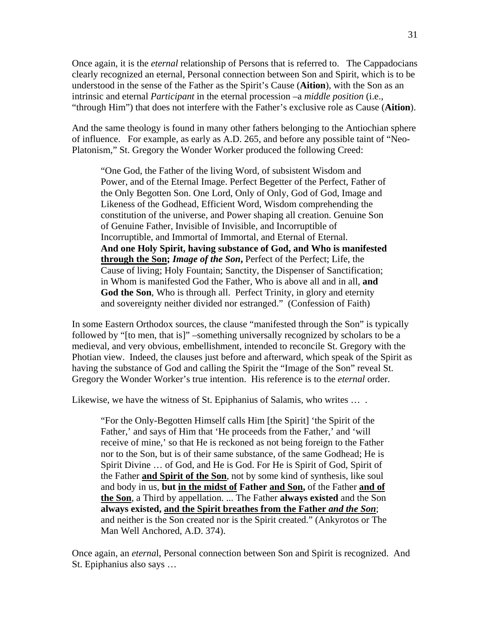Once again, it is the *eternal* relationship of Persons that is referred to. The Cappadocians clearly recognized an eternal, Personal connection between Son and Spirit, which is to be understood in the sense of the Father as the Spirit's Cause (**Aition**), with the Son as an intrinsic and eternal *Participant* in the eternal procession –a *middle position* (i.e., "through Him") that does not interfere with the Father's exclusive role as Cause (**Aition**).

And the same theology is found in many other fathers belonging to the Antiochian sphere of influence. For example, as early as A.D. 265, and before any possible taint of "Neo-Platonism," St. Gregory the Wonder Worker produced the following Creed:

"One God, the Father of the living Word, of subsistent Wisdom and Power, and of the Eternal Image. Perfect Begetter of the Perfect, Father of the Only Begotten Son. One Lord, Only of Only, God of God, Image and Likeness of the Godhead, Efficient Word, Wisdom comprehending the constitution of the universe, and Power shaping all creation. Genuine Son of Genuine Father, Invisible of Invisible, and Incorruptible of Incorruptible, and Immortal of Immortal, and Eternal of Eternal. **And one Holy Spirit, having substance of God, and Who is manifested through the Son;** *Image of the Son***,** Perfect of the Perfect; Life, the Cause of living; Holy Fountain; Sanctity, the Dispenser of Sanctification; in Whom is manifested God the Father, Who is above all and in all, **and God the Son**, Who is through all. Perfect Trinity, in glory and eternity and sovereignty neither divided nor estranged." (Confession of Faith)

In some Eastern Orthodox sources, the clause "manifested through the Son" is typically followed by "[to men, that is]" –something universally recognized by scholars to be a medieval, and very obvious, embellishment, intended to reconcile St. Gregory with the Photian view. Indeed, the clauses just before and afterward, which speak of the Spirit as having the substance of God and calling the Spirit the "Image of the Son" reveal St. Gregory the Wonder Worker's true intention. His reference is to the *eternal* order.

Likewise, we have the witness of St. Epiphanius of Salamis, who writes ....

"For the Only-Begotten Himself calls Him [the Spirit] 'the Spirit of the Father,' and says of Him that 'He proceeds from the Father,' and 'will receive of mine,' so that He is reckoned as not being foreign to the Father nor to the Son, but is of their same substance, of the same Godhead; He is Spirit Divine … of God, and He is God. For He is Spirit of God, Spirit of the Father **and Spirit of the Son**, not by some kind of synthesis, like soul and body in us, **but in the midst of Father and Son,** of the Father **and of the Son**, a Third by appellation. ... The Father **always existed** and the Son **always existed, and the Spirit breathes from the Father** *and the Son*; and neither is the Son created nor is the Spirit created." (Ankyrotos or The Man Well Anchored, A.D. 374).

Once again, an *eterna*l, Personal connection between Son and Spirit is recognized. And St. Epiphanius also says …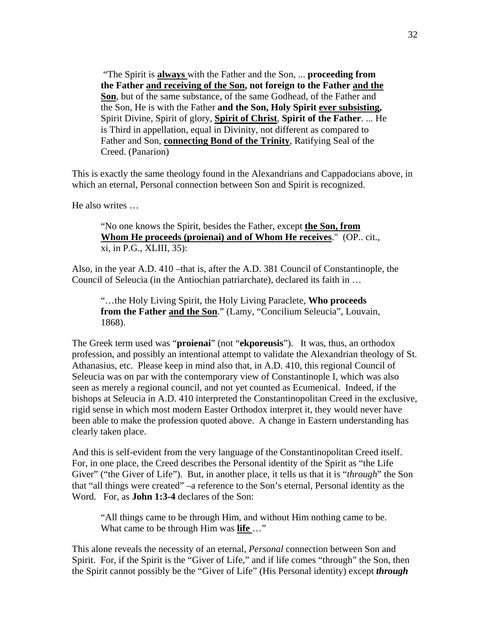"The Spirit is **always** with the Father and the Son, ... **proceeding from the Father and receiving of the Son, not foreign to the Father and the Son**, but of the same substance, of the same Godhead, of the Father and the Son, He is with the Father **and the Son, Holy Spirit ever subsisting,** Spirit Divine, Spirit of glory, **Spirit of Christ**, **Spirit of the Father**. ... He is Third in appellation, equal in Divinity, not different as compared to Father and Son, **connecting Bond of the Trinity**, Ratifying Seal of the Creed. (Panarion)

This is exactly the same theology found in the Alexandrians and Cappadocians above, in which an eternal, Personal connection between Son and Spirit is recognized.

He also writes …

"No one knows the Spirit, besides the Father, except **the Son, from Whom He proceeds (proienai) and of Whom He receives**." (OP.. cit., xi, in P.G., XLIII, 35):

Also, in the year A.D. 410 –that is, after the A.D. 381 Council of Constantinople, the Council of Seleucia (in the Antiochian patriarchate), declared its faith in …

"…the Holy Living Spirit, the Holy Living Paraclete, **Who proceeds from the Father and the Son**." (Lamy, "Concilium Seleucia", Louvain, 1868).

The Greek term used was "**proienai**" (not "**ekporeusis**"). It was, thus, an orthodox profession, and possibly an intentional attempt to validate the Alexandrian theology of St. Athanasius, etc. Please keep in mind also that, in A.D. 410, this regional Council of Seleucia was on par with the contemporary view of Constantinople I, which was also seen as merely a regional council, and not yet counted as Ecumenical. Indeed, if the bishops at Seleucia in A.D. 410 interpreted the Constantinopolitan Creed in the exclusive, rigid sense in which most modern Easter Orthodox interpret it, they would never have been able to make the profession quoted above. A change in Eastern understanding has clearly taken place.

And this is self-evident from the very language of the Constantinopolitan Creed itself. For, in one place, the Creed describes the Personal identity of the Spirit as "the Life Giver" ("the Giver of Life"). But, in another place, it tells us that it is "*through*" the Son that "all things were created" –a reference to the Son's eternal, Personal identity as the Word. For, as **John 1:3-4** declares of the Son:

"All things came to be through Him, and without Him nothing came to be. What came to be through Him was **life** …"

This alone reveals the necessity of an eternal, *Personal* connection between Son and Spirit. For, if the Spirit is the "Giver of Life," and if life comes "through" the Son, then the Spirit cannot possibly be the "Giver of Life" (His Personal identity) except *through*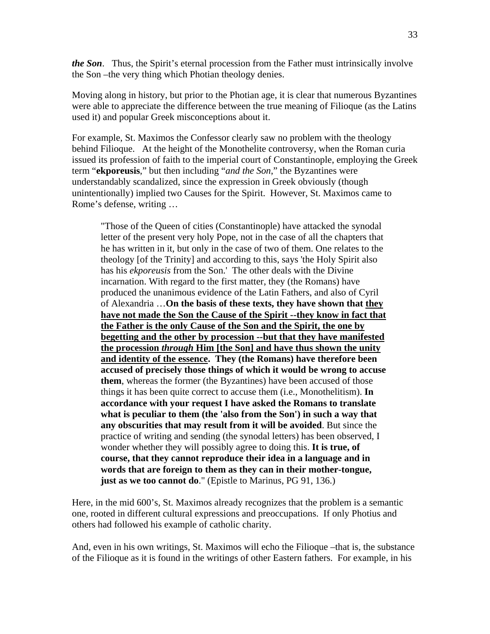*the Son*. Thus, the Spirit's eternal procession from the Father must intrinsically involve the Son –the very thing which Photian theology denies.

Moving along in history, but prior to the Photian age, it is clear that numerous Byzantines were able to appreciate the difference between the true meaning of Filioque (as the Latins used it) and popular Greek misconceptions about it.

For example, St. Maximos the Confessor clearly saw no problem with the theology behind Filioque. At the height of the Monothelite controversy, when the Roman curia issued its profession of faith to the imperial court of Constantinople, employing the Greek term "**ekporeusis**," but then including "*and the Son*," the Byzantines were understandably scandalized, since the expression in Greek obviously (though unintentionally) implied two Causes for the Spirit. However, St. Maximos came to Rome's defense, writing …

"Those of the Queen of cities (Constantinople) have attacked the synodal letter of the present very holy Pope, not in the case of all the chapters that he has written in it, but only in the case of two of them. One relates to the theology [of the Trinity] and according to this, says 'the Holy Spirit also has his *ekporeusis* from the Son.' The other deals with the Divine incarnation. With regard to the first matter, they (the Romans) have produced the unanimous evidence of the Latin Fathers, and also of Cyril of Alexandria …**On the basis of these texts, they have shown that they have not made the Son the Cause of the Spirit --they know in fact that the Father is the only Cause of the Son and the Spirit, the one by begetting and the other by procession --but that they have manifested the procession** *through* **Him [the Son] and have thus shown the unity and identity of the essence. They (the Romans) have therefore been accused of precisely those things of which it would be wrong to accuse them**, whereas the former (the Byzantines) have been accused of those things it has been quite correct to accuse them (i.e., Monothelitism). **In accordance with your request I have asked the Romans to translate what is peculiar to them (the 'also from the Son') in such a way that any obscurities that may result from it will be avoided**. But since the practice of writing and sending (the synodal letters) has been observed, I wonder whether they will possibly agree to doing this. **It is true, of course, that they cannot reproduce their idea in a language and in words that are foreign to them as they can in their mother-tongue, just as we too cannot do**." (Epistle to Marinus*,* PG 91, 136.)

Here, in the mid 600's, St. Maximos already recognizes that the problem is a semantic one, rooted in different cultural expressions and preoccupations. If only Photius and others had followed his example of catholic charity.

And, even in his own writings, St. Maximos will echo the Filioque –that is, the substance of the Filioque as it is found in the writings of other Eastern fathers. For example, in his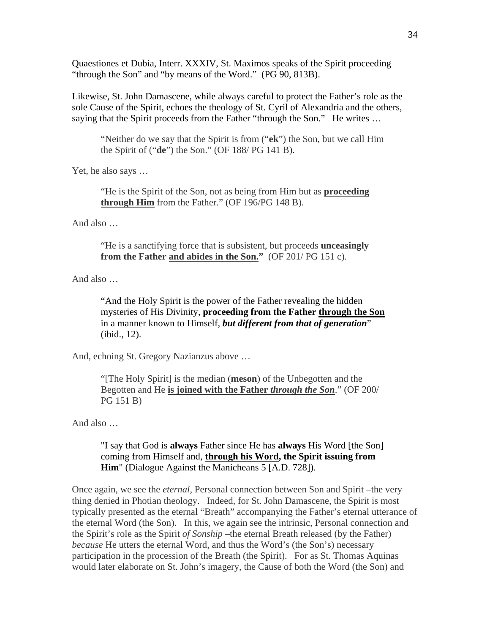Quaestiones et Dubia, Interr. XXXIV, St. Maximos speaks of the Spirit proceeding "through the Son" and "by means of the Word." (PG 90, 813B).

Likewise, St. John Damascene, while always careful to protect the Father's role as the sole Cause of the Spirit, echoes the theology of St. Cyril of Alexandria and the others, saying that the Spirit proceeds from the Father "through the Son." He writes ...

"Neither do we say that the Spirit is from ("**ek**") the Son, but we call Him the Spirit of ("**de**") the Son." (OF 188/ PG 141 B).

Yet, he also says …

"He is the Spirit of the Son, not as being from Him but as **proceeding through Him** from the Father." (OF 196/PG 148 B).

And also …

"He is a sanctifying force that is subsistent, but proceeds **unceasingly from the Father and abides in the Son."** (OF 201/ PG 151 c).

And also …

"And the Holy Spirit is the power of the Father revealing the hidden mysteries of His Divinity, **proceeding from the Father through the Son** in a manner known to Himself, *but different from that of generation*" (ibid., 12).

And, echoing St. Gregory Nazianzus above …

"[The Holy Spirit] is the median (**meson**) of the Unbegotten and the Begotten and He **is joined with the Father** *through the Son*." (OF 200/ PG 151 B)

And also …

"I say that God is **always** Father since He has **always** His Word [the Son] coming from Himself and, **through his Word, the Spirit issuing from Him**" (Dialogue Against the Manicheans 5 [A.D. 728]).

Once again, we see the *eternal*, Personal connection between Son and Spirit –the very thing denied in Photian theology. Indeed, for St. John Damascene, the Spirit is most typically presented as the eternal "Breath" accompanying the Father's eternal utterance of the eternal Word (the Son). In this, we again see the intrinsic, Personal connection and the Spirit's role as the Spirit *of Sonship* –the eternal Breath released (by the Father) *because* He utters the eternal Word, and thus the Word's (the Son's) necessary participation in the procession of the Breath (the Spirit). For as St. Thomas Aquinas would later elaborate on St. John's imagery, the Cause of both the Word (the Son) and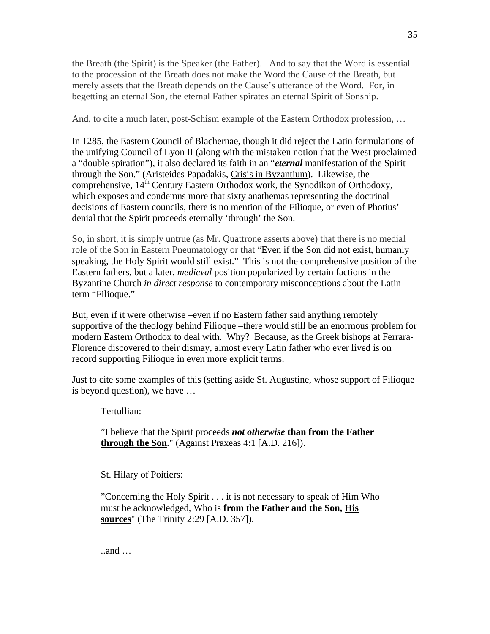the Breath (the Spirit) is the Speaker (the Father). And to say that the Word is essential to the procession of the Breath does not make the Word the Cause of the Breath, but merely assets that the Breath depends on the Cause's utterance of the Word. For, in begetting an eternal Son, the eternal Father spirates an eternal Spirit of Sonship.

And, to cite a much later, post-Schism example of the Eastern Orthodox profession, …

In 1285, the Eastern Council of Blachernae, though it did reject the Latin formulations of the unifying Council of Lyon II (along with the mistaken notion that the West proclaimed a "double spiration"), it also declared its faith in an "*eternal* manifestation of the Spirit through the Son." (Aristeides Papadakis, Crisis in Byzantium). Likewise, the comprehensive,  $14<sup>th</sup>$  Century Eastern Orthodox work, the Synodikon of Orthodoxy, which exposes and condemns more that sixty anathemas representing the doctrinal decisions of Eastern councils, there is no mention of the Filioque, or even of Photius' denial that the Spirit proceeds eternally 'through' the Son.

So, in short, it is simply untrue (as Mr. Quattrone asserts above) that there is no medial role of the Son in Eastern Pneumatology or that "Even if the Son did not exist, humanly speaking, the Holy Spirit would still exist." This is not the comprehensive position of the Eastern fathers, but a later, *medieval* position popularized by certain factions in the Byzantine Church *in direct response* to contemporary misconceptions about the Latin term "Filioque."

But, even if it were otherwise –even if no Eastern father said anything remotely supportive of the theology behind Filioque –there would still be an enormous problem for modern Eastern Orthodox to deal with. Why? Because, as the Greek bishops at Ferrara-Florence discovered to their dismay, almost every Latin father who ever lived is on record supporting Filioque in even more explicit terms.

Just to cite some examples of this (setting aside St. Augustine, whose support of Filioque is beyond question), we have …

Tertullian:

"I believe that the Spirit proceeds *not otherwise* **than from the Father through the Son**." (Against Praxeas 4:1 [A.D. 216]).

St. Hilary of Poitiers:

"Concerning the Holy Spirit . . . it is not necessary to speak of Him Who must be acknowledged, Who is **from the Father and the Son, His sources**" (The Trinity 2:29 [A.D. 357]).

..and …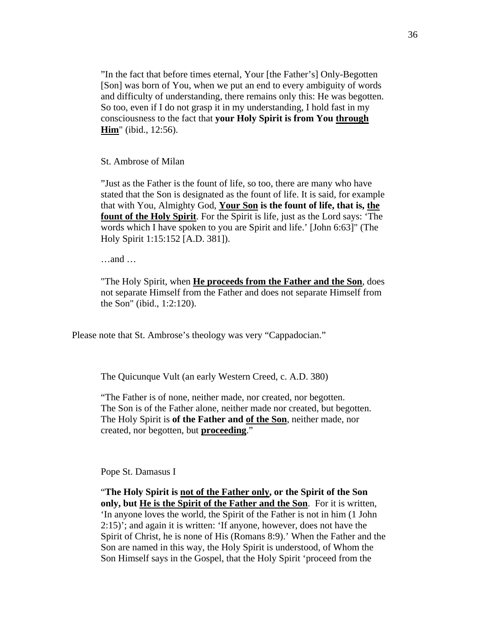"In the fact that before times eternal, Your [the Father's] Only-Begotten [Son] was born of You, when we put an end to every ambiguity of words and difficulty of understanding, there remains only this: He was begotten. So too, even if I do not grasp it in my understanding, I hold fast in my consciousness to the fact that **your Holy Spirit is from You through Him**" (ibid., 12:56).

St. Ambrose of Milan

"Just as the Father is the fount of life, so too, there are many who have stated that the Son is designated as the fount of life. It is said, for example that with You, Almighty God, **Your Son is the fount of life, that is, the fount of the Holy Spirit**. For the Spirit is life, just as the Lord says: 'The words which I have spoken to you are Spirit and life.' [John 6:63]" (The Holy Spirit 1:15:152 [A.D. 381]).

…and …

"The Holy Spirit, when **He proceeds from the Father and the Son**, does not separate Himself from the Father and does not separate Himself from the Son" (ibid., 1:2:120).

Please note that St. Ambrose's theology was very "Cappadocian."

The Quicunque Vult (an early Western Creed, c. A.D. 380)

"The Father is of none, neither made, nor created, nor begotten. The Son is of the Father alone, neither made nor created, but begotten. The Holy Spirit is **of the Father and of the Son**, neither made, nor created, nor begotten, but **proceeding**."

Pope St. Damasus I

"**The Holy Spirit is not of the Father only, or the Spirit of the Son only, but He is the Spirit of the Father and the Son**. For it is written, 'In anyone loves the world, the Spirit of the Father is not in him (1 John 2:15)'; and again it is written: 'If anyone, however, does not have the Spirit of Christ, he is none of His (Romans 8:9).' When the Father and the Son are named in this way, the Holy Spirit is understood, of Whom the Son Himself says in the Gospel, that the Holy Spirit 'proceed from the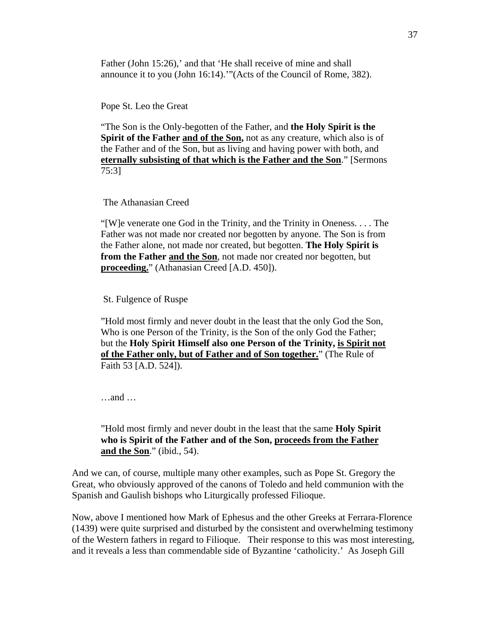Father (John 15:26),' and that 'He shall receive of mine and shall announce it to you (John 16:14).'"(Acts of the Council of Rome, 382).

Pope St. Leo the Great

"The Son is the Only-begotten of the Father, and **the Holy Spirit is the Spirit of the Father and of the Son,** not as any creature, which also is of the Father and of the Son, but as living and having power with both, and **eternally subsisting of that which is the Father and the Son**." [Sermons 75:3]

The Athanasian Creed

"[W]e venerate one God in the Trinity, and the Trinity in Oneness. . . . The Father was not made nor created nor begotten by anyone. The Son is from the Father alone, not made nor created, but begotten. **The Holy Spirit is from the Father and the Son**, not made nor created nor begotten, but **proceeding.**" (Athanasian Creed [A.D. 450]).

St. Fulgence of Ruspe

"Hold most firmly and never doubt in the least that the only God the Son, Who is one Person of the Trinity, is the Son of the only God the Father; but the **Holy Spirit Himself also one Person of the Trinity, is Spirit not of the Father only, but of Father and of Son together.**" (The Rule of Faith 53 [A.D. 524]).

…and …

"Hold most firmly and never doubt in the least that the same **Holy Spirit who is Spirit of the Father and of the Son, proceeds from the Father and the Son**." (ibid., 54).

And we can, of course, multiple many other examples, such as Pope St. Gregory the Great, who obviously approved of the canons of Toledo and held communion with the Spanish and Gaulish bishops who Liturgically professed Filioque.

Now, above I mentioned how Mark of Ephesus and the other Greeks at Ferrara-Florence (1439) were quite surprised and disturbed by the consistent and overwhelming testimony of the Western fathers in regard to Filioque. Their response to this was most interesting, and it reveals a less than commendable side of Byzantine 'catholicity.' As Joseph Gill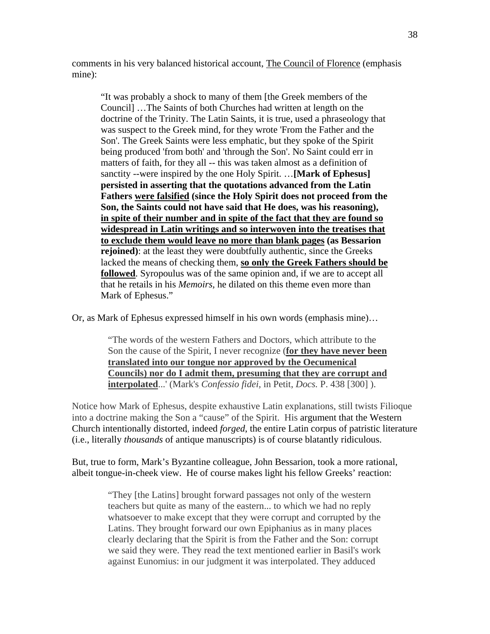comments in his very balanced historical account, The Council of Florence (emphasis mine):

"It was probably a shock to many of them [the Greek members of the Council] …The Saints of both Churches had written at length on the doctrine of the Trinity. The Latin Saints, it is true, used a phraseology that was suspect to the Greek mind, for they wrote 'From the Father and the Son'. The Greek Saints were less emphatic, but they spoke of the Spirit being produced 'from both' and 'through the Son'. No Saint could err in matters of faith, for they all -- this was taken almost as a definition of sanctity --were inspired by the one Holy Spirit. …**[Mark of Ephesus] persisted in asserting that the quotations advanced from the Latin Fathers were falsified (since the Holy Spirit does not proceed from the Son, the Saints could not have said that He does, was his reasoning), in spite of their number and in spite of the fact that they are found so widespread in Latin writings and so interwoven into the treatises that to exclude them would leave no more than blank pages (as Bessarion rejoined)**: at the least they were doubtfully authentic, since the Greeks lacked the means of checking them, **so only the Greek Fathers should be followed**. Syropoulus was of the same opinion and, if we are to accept all that he retails in his *Memoirs,* he dilated on this theme even more than Mark of Ephesus."

Or, as Mark of Ephesus expressed himself in his own words (emphasis mine)…

"The words of the western Fathers and Doctors, which attribute to the Son the cause of the Spirit, I never recognize (**for they have never been translated into our tongue nor approved by the Oecumenical Councils) nor do I admit them, presuming that they are corrupt and interpolated**...' (Mark's *Confessio fidei,* in Petit, *Docs.* P. 438 [300] ).

Notice how Mark of Ephesus, despite exhaustive Latin explanations, still twists Filioque into a doctrine making the Son a "cause" of the Spirit. His argument that the Western Church intentionally distorted, indeed *forged*, the entire Latin corpus of patristic literature (i.e., literally *thousands* of antique manuscripts) is of course blatantly ridiculous.

But, true to form, Mark's Byzantine colleague, John Bessarion, took a more rational, albeit tongue-in-cheek view. He of course makes light his fellow Greeks' reaction:

> "They [the Latins] brought forward passages not only of the western teachers but quite as many of the eastern... to which we had no reply whatsoever to make except that they were corrupt and corrupted by the Latins. They brought forward our own Epiphanius as in many places clearly declaring that the Spirit is from the Father and the Son: corrupt we said they were. They read the text mentioned earlier in Basil's work against Eunomius: in our judgment it was interpolated. They adduced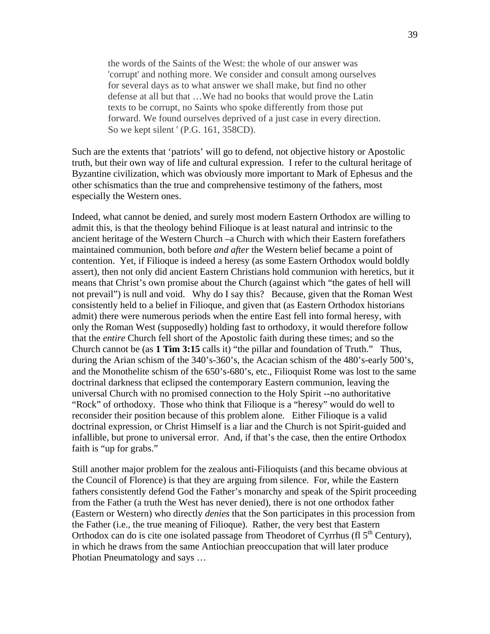the words of the Saints of the West: the whole of our answer was 'corrupt' and nothing more. We consider and consult among ourselves for several days as to what answer we shall make, but find no other defense at all but that …We had no books that would prove the Latin texts to be corrupt, no Saints who spoke differently from those put forward. We found ourselves deprived of a just case in every direction. So we kept silent ' (P.G. 161, 358CD).

Such are the extents that 'patriots' will go to defend, not objective history or Apostolic truth, but their own way of life and cultural expression. I refer to the cultural heritage of Byzantine civilization, which was obviously more important to Mark of Ephesus and the other schismatics than the true and comprehensive testimony of the fathers, most especially the Western ones.

Indeed, what cannot be denied, and surely most modern Eastern Orthodox are willing to admit this, is that the theology behind Filioque is at least natural and intrinsic to the ancient heritage of the Western Church –a Church with which their Eastern forefathers maintained communion, both before *and after* the Western belief became a point of contention. Yet, if Filioque is indeed a heresy (as some Eastern Orthodox would boldly assert), then not only did ancient Eastern Christians hold communion with heretics, but it means that Christ's own promise about the Church (against which "the gates of hell will not prevail") is null and void. Why do I say this? Because, given that the Roman West consistently held to a belief in Filioque, and given that (as Eastern Orthodox historians admit) there were numerous periods when the entire East fell into formal heresy, with only the Roman West (supposedly) holding fast to orthodoxy, it would therefore follow that the *entire* Church fell short of the Apostolic faith during these times; and so the Church cannot be (as **1 Tim 3:15** calls it) "the pillar and foundation of Truth." Thus, during the Arian schism of the 340's-360's, the Acacian schism of the 480's-early 500's, and the Monothelite schism of the 650's-680's, etc., Filioquist Rome was lost to the same doctrinal darkness that eclipsed the contemporary Eastern communion, leaving the universal Church with no promised connection to the Holy Spirit --no authoritative "Rock" of orthodoxy. Those who think that Filioque is a "heresy" would do well to reconsider their position because of this problem alone. Either Filioque is a valid doctrinal expression, or Christ Himself is a liar and the Church is not Spirit-guided and infallible, but prone to universal error. And, if that's the case, then the entire Orthodox faith is "up for grabs."

Still another major problem for the zealous anti-Filioquists (and this became obvious at the Council of Florence) is that they are arguing from silence. For, while the Eastern fathers consistently defend God the Father's monarchy and speak of the Spirit proceeding from the Father (a truth the West has never denied), there is not one orthodox father (Eastern or Western) who directly *denies* that the Son participates in this procession from the Father (i.e., the true meaning of Filioque). Rather, the very best that Eastern Orthodox can do is cite one isolated passage from Theodoret of Cyrrhus (fl  $5<sup>th</sup>$  Century), in which he draws from the same Antiochian preoccupation that will later produce Photian Pneumatology and says …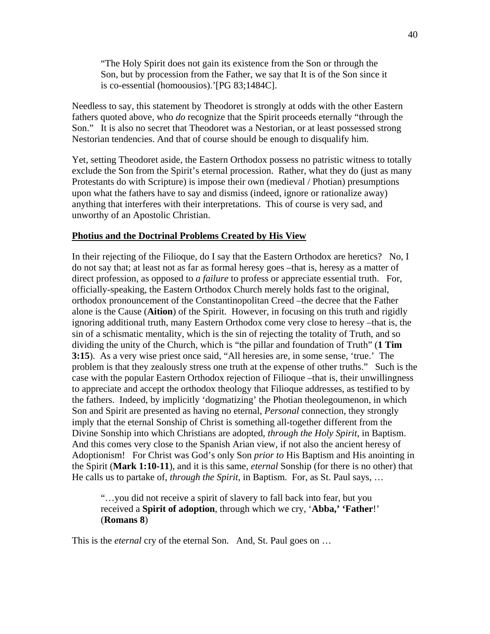"The Holy Spirit does not gain its existence from the Son or through the Son, but by procession from the Father, we say that It is of the Son since it is co-essential (homoousios).'[PG 83;1484C].

Needless to say, this statement by Theodoret is strongly at odds with the other Eastern fathers quoted above, who *do* recognize that the Spirit proceeds eternally "through the Son." It is also no secret that Theodoret was a Nestorian, or at least possessed strong Nestorian tendencies. And that of course should be enough to disqualify him.

Yet, setting Theodoret aside, the Eastern Orthodox possess no patristic witness to totally exclude the Son from the Spirit's eternal procession. Rather, what they do (just as many Protestants do with Scripture) is impose their own (medieval / Photian) presumptions upon what the fathers have to say and dismiss (indeed, ignore or rationalize away) anything that interferes with their interpretations. This of course is very sad, and unworthy of an Apostolic Christian.

#### **Photius and the Doctrinal Problems Created by His View**

In their rejecting of the Filioque, do I say that the Eastern Orthodox are heretics? No, I do not say that; at least not as far as formal heresy goes –that is, heresy as a matter of direct profession, as opposed to *a failure* to profess or appreciate essential truth. For, officially-speaking, the Eastern Orthodox Church merely holds fast to the original, orthodox pronouncement of the Constantinopolitan Creed –the decree that the Father alone is the Cause (**Aition**) of the Spirit. However, in focusing on this truth and rigidly ignoring additional truth, many Eastern Orthodox come very close to heresy –that is, the sin of a schismatic mentality, which is the sin of rejecting the totality of Truth, and so dividing the unity of the Church, which is "the pillar and foundation of Truth" (**1 Tim 3:15**). As a very wise priest once said, "All heresies are, in some sense, 'true.' The problem is that they zealously stress one truth at the expense of other truths." Such is the case with the popular Eastern Orthodox rejection of Filioque –that is, their unwillingness to appreciate and accept the orthodox theology that Filioque addresses, as testified to by the fathers. Indeed, by implicitly 'dogmatizing' the Photian theolegoumenon, in which Son and Spirit are presented as having no eternal, *Personal* connection, they strongly imply that the eternal Sonship of Christ is something all-together different from the Divine Sonship into which Christians are adopted, *through the Holy Spirit*, in Baptism. And this comes very close to the Spanish Arian view, if not also the ancient heresy of Adoptionism! For Christ was God's only Son *prior to* His Baptism and His anointing in the Spirit (**Mark 1:10-11**), and it is this same, *eternal* Sonship (for there is no other) that He calls us to partake of, *through the Spirit*, in Baptism. For, as St. Paul says, …

"…you did not receive a spirit of slavery to fall back into fear, but you received a **Spirit of adoption**, through which we cry, '**Abba,' 'Father**!' (**Romans 8**)

This is the *eternal* cry of the eternal Son. And, St. Paul goes on ...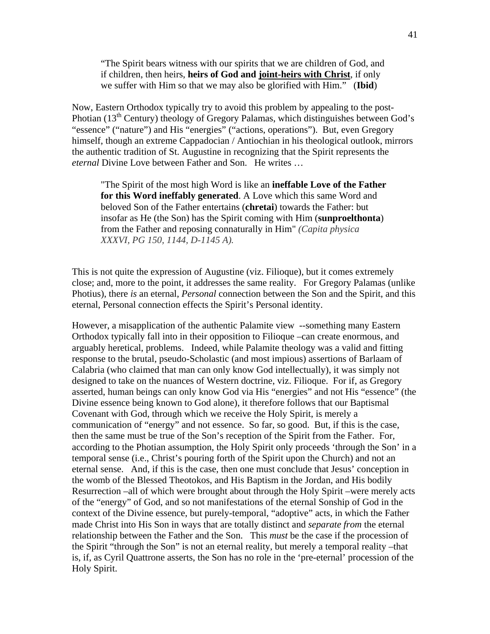"The Spirit bears witness with our spirits that we are children of God, and if children, then heirs, **heirs of God and joint-heirs with Christ**, if only we suffer with Him so that we may also be glorified with Him." (**Ibid**)

Now, Eastern Orthodox typically try to avoid this problem by appealing to the post-Photian  $(13<sup>th</sup>$  Century) theology of Gregory Palamas, which distinguishes between God's "essence" ("nature") and His "energies" ("actions, operations"). But, even Gregory himself, though an extreme Cappadocian / Antiochian in his theological outlook, mirrors the authentic tradition of St. Augustine in recognizing that the Spirit represents the *eternal* Divine Love between Father and Son. He writes …

"The Spirit of the most high Word is like an **ineffable Love of the Father for this Word ineffably generated**. A Love which this same Word and beloved Son of the Father entertains (**chretai**) towards the Father: but insofar as He (the Son) has the Spirit coming with Him (**sunproelthonta**) from the Father and reposing connaturally in Him" *(Capita physica XXXVI, PG 150, 1144, D-1145 A).* 

This is not quite the expression of Augustine (viz. Filioque), but it comes extremely close; and, more to the point, it addresses the same reality. For Gregory Palamas (unlike Photius), there *is* an eternal, *Personal* connection between the Son and the Spirit, and this eternal, Personal connection effects the Spirit's Personal identity.

However, a misapplication of the authentic Palamite view --something many Eastern Orthodox typically fall into in their opposition to Filioque –can create enormous, and arguably heretical, problems. Indeed, while Palamite theology was a valid and fitting response to the brutal, pseudo-Scholastic (and most impious) assertions of Barlaam of Calabria (who claimed that man can only know God intellectually), it was simply not designed to take on the nuances of Western doctrine, viz. Filioque. For if, as Gregory asserted, human beings can only know God via His "energies" and not His "essence" (the Divine essence being known to God alone), it therefore follows that our Baptismal Covenant with God, through which we receive the Holy Spirit, is merely a communication of "energy" and not essence. So far, so good. But, if this is the case, then the same must be true of the Son's reception of the Spirit from the Father. For, according to the Photian assumption, the Holy Spirit only proceeds 'through the Son' in a temporal sense (i.e., Christ's pouring forth of the Spirit upon the Church) and not an eternal sense. And, if this is the case, then one must conclude that Jesus' conception in the womb of the Blessed Theotokos, and His Baptism in the Jordan, and His bodily Resurrection –all of which were brought about through the Holy Spirit –were merely acts of the "energy" of God, and so not manifestations of the eternal Sonship of God in the context of the Divine essence, but purely-temporal, "adoptive" acts, in which the Father made Christ into His Son in ways that are totally distinct and *separate from* the eternal relationship between the Father and the Son. This *must* be the case if the procession of the Spirit "through the Son" is not an eternal reality, but merely a temporal reality –that is, if, as Cyril Quattrone asserts, the Son has no role in the 'pre-eternal' procession of the Holy Spirit.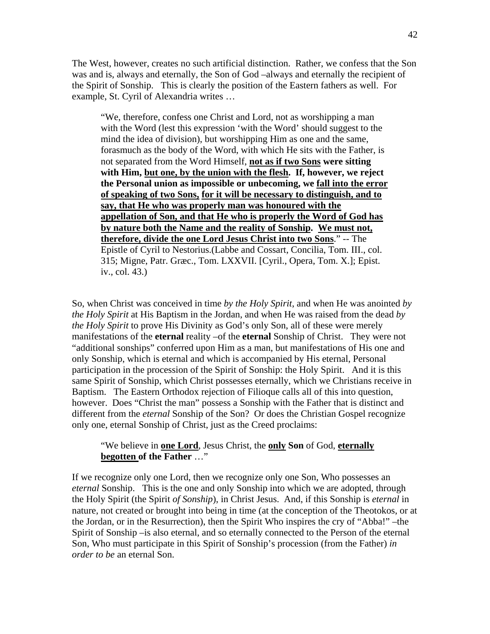The West, however, creates no such artificial distinction. Rather, we confess that the Son was and is, always and eternally, the Son of God –always and eternally the recipient of the Spirit of Sonship. This is clearly the position of the Eastern fathers as well. For example, St. Cyril of Alexandria writes …

"We, therefore, confess one Christ and Lord, not as worshipping a man with the Word (lest this expression 'with the Word' should suggest to the mind the idea of division), but worshipping Him as one and the same, forasmuch as the body of the Word, with which He sits with the Father, is not separated from the Word Himself, **not as if two Sons were sitting with Him, but one, by the union with the flesh. If, however, we reject the Personal union as impossible or unbecoming, we fall into the error of speaking of two Sons, for it will be necessary to distinguish, and to say, that He who was properly man was honoured with the appellation of Son, and that He who is properly the Word of God has by nature both the Name and the reality of Sonship. We must not, therefore, divide the one Lord Jesus Christ into two Sons**." -- The Epistle of Cyril to Nestorius.(Labbe and Cossart, Concilia, Tom. III., col. 315; Migne, Patr. Græc., Tom. LXXVII. [Cyril., Opera, Tom. X.]; Epist. iv., col. 43.)

So, when Christ was conceived in time *by the Holy Spirit*, and when He was anointed *by the Holy Spirit* at His Baptism in the Jordan, and when He was raised from the dead *by the Holy Spirit* to prove His Divinity as God's only Son, all of these were merely manifestations of the **eternal** reality –of the **eternal** Sonship of Christ. They were not "additional sonships" conferred upon Him as a man, but manifestations of His one and only Sonship, which is eternal and which is accompanied by His eternal, Personal participation in the procession of the Spirit of Sonship: the Holy Spirit. And it is this same Spirit of Sonship, which Christ possesses eternally, which we Christians receive in Baptism. The Eastern Orthodox rejection of Filioque calls all of this into question, however. Does "Christ the man" possess a Sonship with the Father that is distinct and different from the *eternal* Sonship of the Son? Or does the Christian Gospel recognize only one, eternal Sonship of Christ, just as the Creed proclaims:

### "We believe in **one Lord**, Jesus Christ, the **only Son** of God, **eternally begotten of the Father** …"

If we recognize only one Lord, then we recognize only one Son, Who possesses an *eternal* Sonship. This is the one and only Sonship into which we are adopted, through the Holy Spirit (the Spirit *of Sonship*), in Christ Jesus. And, if this Sonship is *eternal* in nature, not created or brought into being in time (at the conception of the Theotokos, or at the Jordan, or in the Resurrection), then the Spirit Who inspires the cry of "Abba!" –the Spirit of Sonship –is also eternal, and so eternally connected to the Person of the eternal Son, Who must participate in this Spirit of Sonship's procession (from the Father) *in order to be* an eternal Son.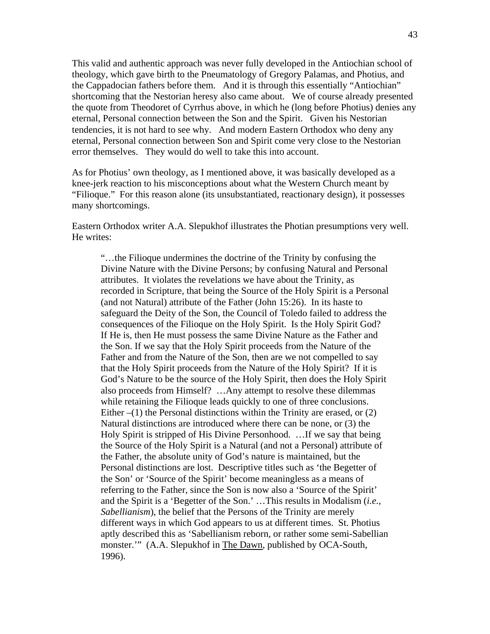This valid and authentic approach was never fully developed in the Antiochian school of theology, which gave birth to the Pneumatology of Gregory Palamas, and Photius, and the Cappadocian fathers before them. And it is through this essentially "Antiochian" shortcoming that the Nestorian heresy also came about. We of course already presented the quote from Theodoret of Cyrrhus above, in which he (long before Photius) denies any eternal, Personal connection between the Son and the Spirit. Given his Nestorian tendencies, it is not hard to see why. And modern Eastern Orthodox who deny any eternal, Personal connection between Son and Spirit come very close to the Nestorian error themselves. They would do well to take this into account.

As for Photius' own theology, as I mentioned above, it was basically developed as a knee-jerk reaction to his misconceptions about what the Western Church meant by "Filioque." For this reason alone (its unsubstantiated, reactionary design), it possesses many shortcomings.

Eastern Orthodox writer A.A. Slepukhof illustrates the Photian presumptions very well. He writes:

"…the Filioque undermines the doctrine of the Trinity by confusing the Divine Nature with the Divine Persons; by confusing Natural and Personal attributes. It violates the revelations we have about the Trinity, as recorded in Scripture, that being the Source of the Holy Spirit is a Personal (and not Natural) attribute of the Father (John 15:26). In its haste to safeguard the Deity of the Son, the Council of Toledo failed to address the consequences of the Filioque on the Holy Spirit. Is the Holy Spirit God? If He is, then He must possess the same Divine Nature as the Father and the Son. If we say that the Holy Spirit proceeds from the Nature of the Father and from the Nature of the Son, then are we not compelled to say that the Holy Spirit proceeds from the Nature of the Holy Spirit? If it is God's Nature to be the source of the Holy Spirit, then does the Holy Spirit also proceeds from Himself? …Any attempt to resolve these dilemmas while retaining the Filioque leads quickly to one of three conclusions. Either  $-(1)$  the Personal distinctions within the Trinity are erased, or  $(2)$ Natural distinctions are introduced where there can be none, or (3) the Holy Spirit is stripped of His Divine Personhood. …If we say that being the Source of the Holy Spirit is a Natural (and not a Personal) attribute of the Father, the absolute unity of God's nature is maintained, but the Personal distinctions are lost. Descriptive titles such as 'the Begetter of the Son' or 'Source of the Spirit' become meaningless as a means of referring to the Father, since the Son is now also a 'Source of the Spirit' and the Spirit is a 'Begetter of the Son.' …This results in Modalism (*i.e., Sabellianism*), the belief that the Persons of the Trinity are merely different ways in which God appears to us at different times. St. Photius aptly described this as 'Sabellianism reborn, or rather some semi-Sabellian monster."" (A.A. Slepukhof in The Dawn, published by OCA-South, 1996).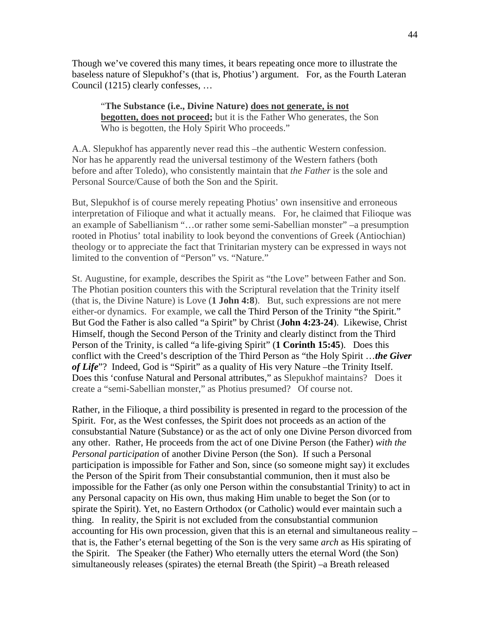Though we've covered this many times, it bears repeating once more to illustrate the baseless nature of Slepukhof's (that is, Photius') argument. For, as the Fourth Lateran Council (1215) clearly confesses, …

"**The Substance (i.e., Divine Nature) does not generate, is not begotten, does not proceed;** but it is the Father Who generates, the Son Who is begotten, the Holy Spirit Who proceeds."

A.A. Slepukhof has apparently never read this –the authentic Western confession. Nor has he apparently read the universal testimony of the Western fathers (both before and after Toledo), who consistently maintain that *the Father* is the sole and Personal Source/Cause of both the Son and the Spirit.

But, Slepukhof is of course merely repeating Photius' own insensitive and erroneous interpretation of Filioque and what it actually means. For, he claimed that Filioque was an example of Sabellianism "…or rather some semi-Sabellian monster" –a presumption rooted in Photius' total inability to look beyond the conventions of Greek (Antiochian) theology or to appreciate the fact that Trinitarian mystery can be expressed in ways not limited to the convention of "Person" vs. "Nature."

St. Augustine, for example, describes the Spirit as "the Love" between Father and Son. The Photian position counters this with the Scriptural revelation that the Trinity itself (that is, the Divine Nature) is Love (**1 John 4:8**). But, such expressions are not mere either-or dynamics. For example, we call the Third Person of the Trinity "the Spirit." But God the Father is also called "a Spirit" by Christ (**John 4:23-24**). Likewise, Christ Himself, though the Second Person of the Trinity and clearly distinct from the Third Person of the Trinity, is called "a life-giving Spirit" (**1 Corinth 15:45**). Does this conflict with the Creed's description of the Third Person as "the Holy Spirit …*the Giver of Life*"? Indeed, God is "Spirit" as a quality of His very Nature –the Trinity Itself. Does this 'confuse Natural and Personal attributes," as Slepukhof maintains? Does it create a "semi-Sabellian monster," as Photius presumed? Of course not.

Rather, in the Filioque, a third possibility is presented in regard to the procession of the Spirit. For, as the West confesses, the Spirit does not proceeds as an action of the consubstantial Nature (Substance) or as the act of only one Divine Person divorced from any other. Rather, He proceeds from the act of one Divine Person (the Father) *with the Personal participation* of another Divine Person (the Son). If such a Personal participation is impossible for Father and Son, since (so someone might say) it excludes the Person of the Spirit from Their consubstantial communion, then it must also be impossible for the Father (as only one Person within the consubstantial Trinity) to act in any Personal capacity on His own, thus making Him unable to beget the Son (or to spirate the Spirit). Yet, no Eastern Orthodox (or Catholic) would ever maintain such a thing. In reality, the Spirit is not excluded from the consubstantial communion accounting for His own procession, given that this is an eternal and simultaneous reality – that is, the Father's eternal begetting of the Son is the very same *arch* as His spirating of the Spirit. The Speaker (the Father) Who eternally utters the eternal Word (the Son) simultaneously releases (spirates) the eternal Breath (the Spirit) –a Breath released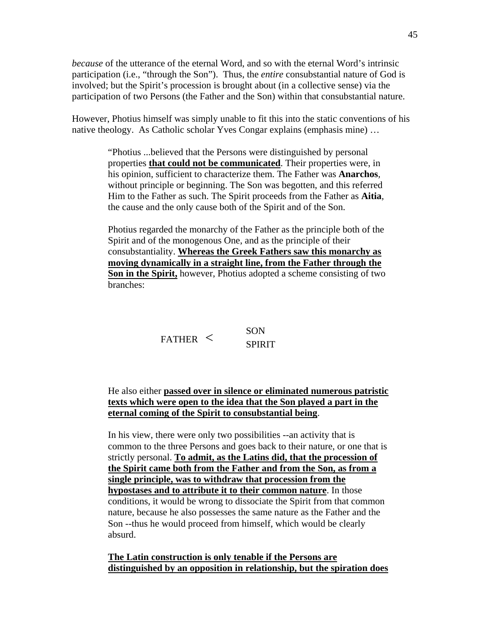*because* of the utterance of the eternal Word, and so with the eternal Word's intrinsic participation (i.e., "through the Son"). Thus, the *entire* consubstantial nature of God is involved; but the Spirit's procession is brought about (in a collective sense) via the participation of two Persons (the Father and the Son) within that consubstantial nature.

However, Photius himself was simply unable to fit this into the static conventions of his native theology. As Catholic scholar Yves Congar explains (emphasis mine) …

> "Photius ...believed that the Persons were distinguished by personal properties **that could not be communicated**. Their properties were, in his opinion, sufficient to characterize them. The Father was **Anarchos***,*  without principle or beginning. The Son was begotten, and this referred Him to the Father as such. The Spirit proceeds from the Father as **Aitia***,*  the cause and the only cause both of the Spirit and of the Son.

Photius regarded the monarchy of the Father as the principle both of the Spirit and of the monogenous One, and as the principle of their consubstantiality. **Whereas the Greek Fathers saw this monarchy as moving dynamically in a straight line, from the Father through the Son in the Spirit,** however, Photius adopted a scheme consisting of two branches:

> FATHER  $\leq$ SON SPIRIT

# He also either **passed over in silence or eliminated numerous patristic texts which were open to the idea that the Son played a part in the eternal coming of the Spirit to consubstantial being**.

In his view, there were only two possibilities --an activity that is common to the three Persons and goes back to their nature, or one that is strictly personal. **To admit, as the Latins did, that the procession of the Spirit came both from the Father and from the Son, as from a single principle, was to withdraw that procession from the hypostases and to attribute it to their common nature**. In those conditions, it would be wrong to dissociate the Spirit from that common nature, because he also possesses the same nature as the Father and the Son --thus he would proceed from himself, which would be clearly absurd.

**The Latin construction is only tenable if the Persons are distinguished by an opposition in relationship, but the spiration does**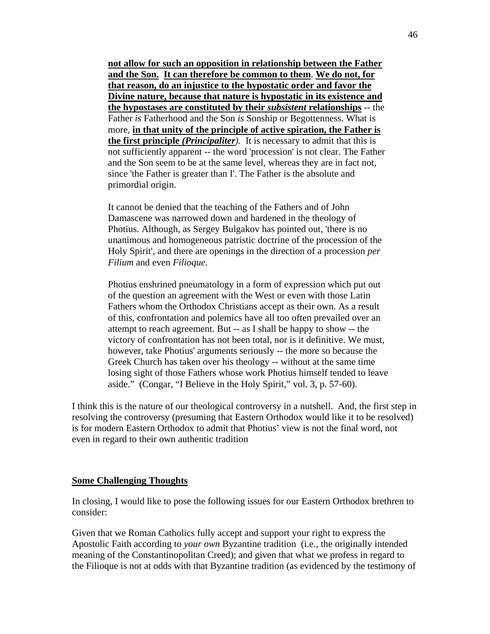**not allow for such an opposition in relationship between the Father and the Son. It can therefore be common to them**. **We do not, for that reason, do an injustice to the hypostatic order and favor the Divine nature, because that nature is hypostatic in its existence and the hypostases are constituted by their** *subsistent* **relationships** -- the Father *is* Fatherhood and the Son *is* Sonship or Begottenness. What is more, **in that unity of the principle of active spiration, the Father is the first principle** *(Principaliter).* It is necessary to admit that this is not sufficiently apparent -- the word 'procession' is not clear. The Father and the Son seem to be at the same level, whereas they are in fact not, since 'the Father is greater than I'. The Father is the absolute and primordial origin.

It cannot be denied that the teaching of the Fathers and of John Damascene was narrowed down and hardened in the theology of Photius. Although, as Sergey Bulgakov has pointed out, 'there is no unanimous and homogeneous patristic doctrine of the procession of the Holy Spirit', and there are openings in the direction of a procession *per Filium* and even *Filioque.* 

Photius enshrined pneumatology in a form of expression which put out of the question an agreement with the West or even with those Latin Fathers whom the Orthodox Christians accept as their own. As a result of this, confrontation and polemics have all too often prevailed over an attempt to reach agreement. But -- as I shall be happy to show -- the victory of confrontation has not been total, nor is it definitive. We must, however, take Photius' arguments seriously -- the more so because the Greek Church has taken over his theology -- without at the same time losing sight of those Fathers whose work Photius himself tended to leave aside." (Congar, "I Believe in the Holy Spirit," vol. 3, p. 57-60).

I think this is the nature of our theological controversy in a nutshell. And, the first step in resolving the controversy (presuming that Eastern Orthodox would like it to be resolved) is for modern Eastern Orthodox to admit that Photius' view is not the final word, not even in regard to their own authentic tradition

#### **Some Challenging Thoughts**

In closing, I would like to pose the following issues for our Eastern Orthodox brethren to consider:

Given that we Roman Catholics fully accept and support your right to express the Apostolic Faith according to *your own* Byzantine tradition (i.e., the originally intended meaning of the Constantinopolitan Creed); and given that what we profess in regard to the Filioque is not at odds with that Byzantine tradition (as evidenced by the testimony of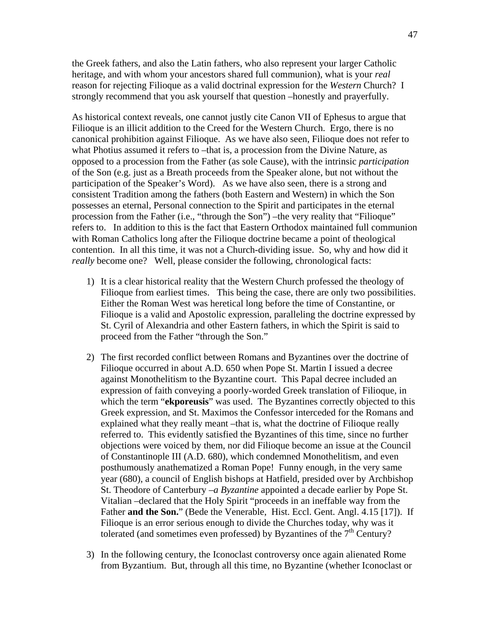the Greek fathers, and also the Latin fathers, who also represent your larger Catholic heritage, and with whom your ancestors shared full communion), what is your *real*  reason for rejecting Filioque as a valid doctrinal expression for the *Western* Church? I strongly recommend that you ask yourself that question –honestly and prayerfully.

As historical context reveals, one cannot justly cite Canon VII of Ephesus to argue that Filioque is an illicit addition to the Creed for the Western Church. Ergo, there is no canonical prohibition against Filioque. As we have also seen, Filioque does not refer to what Photius assumed it refers to –that is, a procession from the Divine Nature, as opposed to a procession from the Father (as sole Cause), with the intrinsic *participation*  of the Son (e.g. just as a Breath proceeds from the Speaker alone, but not without the participation of the Speaker's Word). As we have also seen, there is a strong and consistent Tradition among the fathers (both Eastern and Western) in which the Son possesses an eternal, Personal connection to the Spirit and participates in the eternal procession from the Father (i.e., "through the Son") –the very reality that "Filioque" refers to. In addition to this is the fact that Eastern Orthodox maintained full communion with Roman Catholics long after the Filioque doctrine became a point of theological contention. In all this time, it was not a Church-dividing issue. So, why and how did it *really* become one? Well, please consider the following, chronological facts:

- 1) It is a clear historical reality that the Western Church professed the theology of Filioque from earliest times. This being the case, there are only two possibilities. Either the Roman West was heretical long before the time of Constantine, or Filioque is a valid and Apostolic expression, paralleling the doctrine expressed by St. Cyril of Alexandria and other Eastern fathers, in which the Spirit is said to proceed from the Father "through the Son."
- 2) The first recorded conflict between Romans and Byzantines over the doctrine of Filioque occurred in about A.D. 650 when Pope St. Martin I issued a decree against Monothelitism to the Byzantine court. This Papal decree included an expression of faith conveying a poorly-worded Greek translation of Filioque, in which the term "**ekporeusis**" was used. The Byzantines correctly objected to this Greek expression, and St. Maximos the Confessor interceded for the Romans and explained what they really meant –that is, what the doctrine of Filioque really referred to. This evidently satisfied the Byzantines of this time, since no further objections were voiced by them, nor did Filioque become an issue at the Council of Constantinople III (A.D. 680), which condemned Monothelitism, and even posthumously anathematized a Roman Pope! Funny enough, in the very same year (680), a council of English bishops at Hatfield, presided over by Archbishop St. Theodore of Canterbury –*a Byzantine* appointed a decade earlier by Pope St. Vitalian –declared that the Holy Spirit "proceeds in an ineffable way from the Father **and the Son.**" (Bede the Venerable, Hist. Eccl. Gent. Angl. 4.15 [17]). If Filioque is an error serious enough to divide the Churches today, why was it tolerated (and sometimes even professed) by Byzantines of the  $7<sup>th</sup>$  Century?
- 3) In the following century, the Iconoclast controversy once again alienated Rome from Byzantium. But, through all this time, no Byzantine (whether Iconoclast or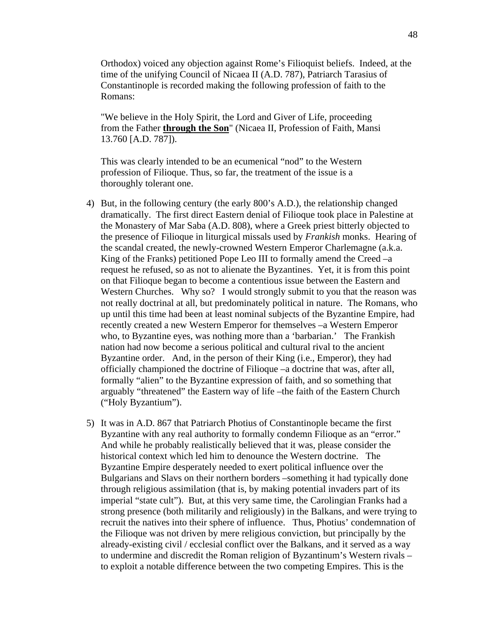Orthodox) voiced any objection against Rome's Filioquist beliefs. Indeed, at the time of the unifying Council of Nicaea II (A.D. 787), Patriarch Tarasius of Constantinople is recorded making the following profession of faith to the Romans:

"We believe in the Holy Spirit, the Lord and Giver of Life, proceeding from the Father **through the Son**" (Nicaea II, Profession of Faith, Mansi 13.760 [A.D. 787]).

This was clearly intended to be an ecumenical "nod" to the Western profession of Filioque. Thus, so far, the treatment of the issue is a thoroughly tolerant one.

- 4) But, in the following century (the early 800's A.D.), the relationship changed dramatically. The first direct Eastern denial of Filioque took place in Palestine at the Monastery of Mar Saba (A.D. 808), where a Greek priest bitterly objected to the presence of Filioque in liturgical missals used by *Frankish* monks. Hearing of the scandal created, the newly-crowned Western Emperor Charlemagne (a.k.a. King of the Franks) petitioned Pope Leo III to formally amend the Creed  $-a$ request he refused, so as not to alienate the Byzantines. Yet, it is from this point on that Filioque began to become a contentious issue between the Eastern and Western Churches. Why so? I would strongly submit to you that the reason was not really doctrinal at all, but predominately political in nature. The Romans, who up until this time had been at least nominal subjects of the Byzantine Empire, had recently created a new Western Emperor for themselves –a Western Emperor who, to Byzantine eyes, was nothing more than a 'barbarian.' The Frankish nation had now become a serious political and cultural rival to the ancient Byzantine order. And, in the person of their King (i.e., Emperor), they had officially championed the doctrine of Filioque –a doctrine that was, after all, formally "alien" to the Byzantine expression of faith, and so something that arguably "threatened" the Eastern way of life –the faith of the Eastern Church ("Holy Byzantium").
- 5) It was in A.D. 867 that Patriarch Photius of Constantinople became the first Byzantine with any real authority to formally condemn Filioque as an "error." And while he probably realistically believed that it was, please consider the historical context which led him to denounce the Western doctrine. The Byzantine Empire desperately needed to exert political influence over the Bulgarians and Slavs on their northern borders –something it had typically done through religious assimilation (that is, by making potential invaders part of its imperial "state cult"). But, at this very same time, the Carolingian Franks had a strong presence (both militarily and religiously) in the Balkans, and were trying to recruit the natives into their sphere of influence. Thus, Photius' condemnation of the Filioque was not driven by mere religious conviction, but principally by the already-existing civil / ecclesial conflict over the Balkans, and it served as a way to undermine and discredit the Roman religion of Byzantinum's Western rivals – to exploit a notable difference between the two competing Empires. This is the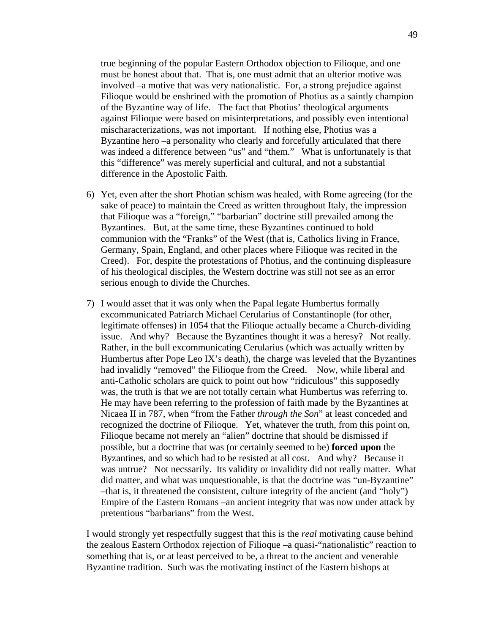true beginning of the popular Eastern Orthodox objection to Filioque, and one must be honest about that. That is, one must admit that an ulterior motive was involved –a motive that was very nationalistic. For, a strong prejudice against Filioque would be enshrined with the promotion of Photius as a saintly champion of the Byzantine way of life. The fact that Photius' theological arguments against Filioque were based on misinterpretations, and possibly even intentional mischaracterizations, was not important. If nothing else, Photius was a Byzantine hero –a personality who clearly and forcefully articulated that there was indeed a difference between "us" and "them." What is unfortunately is that this "difference" was merely superficial and cultural, and not a substantial difference in the Apostolic Faith.

- 6) Yet, even after the short Photian schism was healed, with Rome agreeing (for the sake of peace) to maintain the Creed as written throughout Italy, the impression that Filioque was a "foreign," "barbarian" doctrine still prevailed among the Byzantines. But, at the same time, these Byzantines continued to hold communion with the "Franks" of the West (that is, Catholics living in France, Germany, Spain, England, and other places where Filioque was recited in the Creed). For, despite the protestations of Photius, and the continuing displeasure of his theological disciples, the Western doctrine was still not see as an error serious enough to divide the Churches.
- 7) I would asset that it was only when the Papal legate Humbertus formally excommunicated Patriarch Michael Cerularius of Constantinople (for other, legitimate offenses) in 1054 that the Filioque actually became a Church-dividing issue. And why? Because the Byzantines thought it was a heresy? Not really. Rather, in the bull excommunicating Cerularius (which was actually written by Humbertus after Pope Leo IX's death), the charge was leveled that the Byzantines had invalidly "removed" the Filioque from the Creed. Now, while liberal and anti-Catholic scholars are quick to point out how "ridiculous" this supposedly was, the truth is that we are not totally certain what Humbertus was referring to. He may have been referring to the profession of faith made by the Byzantines at Nicaea II in 787, when "from the Father *through the Son*" at least conceded and recognized the doctrine of Filioque. Yet, whatever the truth, from this point on, Filioque became not merely an "alien" doctrine that should be dismissed if possible, but a doctrine that was (or certainly seemed to be) **forced upon** the Byzantines, and so which had to be resisted at all cost. And why? Because it was untrue? Not necssarily. Its validity or invalidity did not really matter. What did matter, and what was unquestionable, is that the doctrine was "un-Byzantine" –that is, it threatened the consistent, culture integrity of the ancient (and "holy") Empire of the Eastern Romans –an ancient integrity that was now under attack by pretentious "barbarians" from the West.

I would strongly yet respectfully suggest that this is the *real* motivating cause behind the zealous Eastern Orthodox rejection of Filioque –a quasi-"nationalistic" reaction to something that is, or at least perceived to be, a threat to the ancient and venerable Byzantine tradition. Such was the motivating instinct of the Eastern bishops at